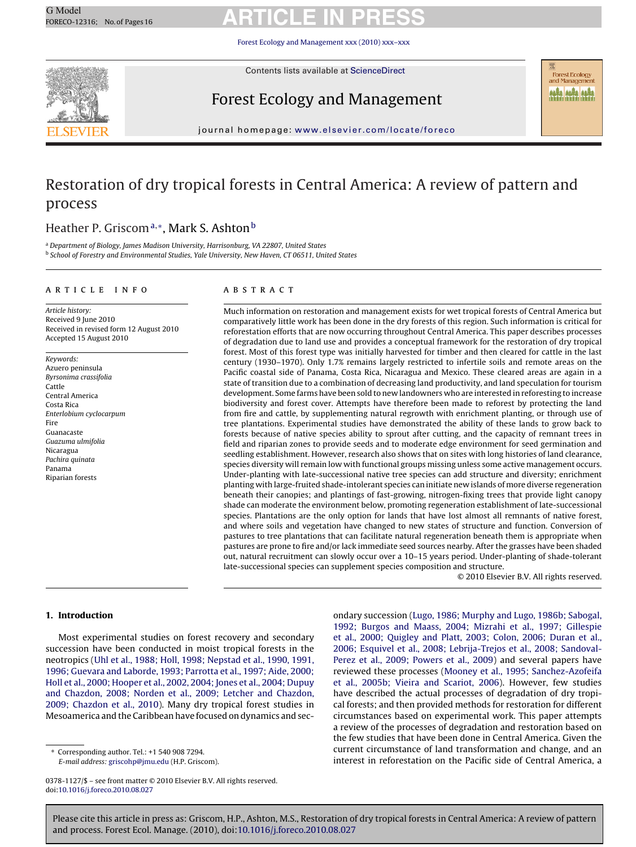[Forest Ecology and Management xxx \(2010\) xxx–xxx](dx.doi.org/10.1016/j.foreco.2010.08.027)



Contents lists available at [ScienceDirect](http://www.sciencedirect.com/science/journal/03781127)

### Forest Ecology and Management

**Forest Ecology** and Management **MA MA MA** 

journal homepage: [www.elsevier.com/locate/foreco](http://www.elsevier.com/locate/foreco)

### Restoration of dry tropical forests in Central America: A review of pattern and process

### Heather P. Griscom<sup>a,∗</sup>, Mark S. Ashton<sup>b</sup>

<sup>a</sup> Department of Biology, James Madison University, Harrisonburg, VA 22807, United States b School of Forestry and Environmental Studies, Yale University, New Haven, CT 06511, United States

#### article info

Article history: Received 9 June 2010 Received in revised form 12 August 2010 Accepted 15 August 2010

Keywords: Azuero peninsula Byrsonima crassifolia Cattle Central America Costa Rica Enterlobium cyclocarpum Fire Guanacaste Guazuma ulmifolia Nicaragua Pachira quinata Panama Riparian forests

#### **ABSTRACT**

Much information on restoration and management exists for wet tropical forests of Central America but comparatively little work has been done in the dry forests of this region. Such information is critical for reforestation efforts that are now occurring throughout Central America. This paper describes processes of degradation due to land use and provides a conceptual framework for the restoration of dry tropical forest. Most of this forest type was initially harvested for timber and then cleared for cattle in the last century (1930–1970). Only 1.7% remains largely restricted to infertile soils and remote areas on the Pacific coastal side of Panama, Costa Rica, Nicaragua and Mexico. These cleared areas are again in a state of transition due to a combination of decreasing land productivity, and land speculation for tourism development. Some farms have been sold to new landowners who are interested in reforesting to increase biodiversity and forest cover. Attempts have therefore been made to reforest by protecting the land from fire and cattle, by supplementing natural regrowth with enrichment planting, or through use of tree plantations. Experimental studies have demonstrated the ability of these lands to grow back to forests because of native species ability to sprout after cutting, and the capacity of remnant trees in field and riparian zones to provide seeds and to moderate edge environment for seed germination and seedling establishment. However, research also shows that on sites with long histories of land clearance, species diversity will remain low with functional groups missing unless some active management occurs. Under-planting with late-successional native tree species can add structure and diversity; enrichment planting with large-fruited shade-intolerant species can initiate new islands of more diverse regeneration beneath their canopies; and plantings of fast-growing, nitrogen-fixing trees that provide light canopy shade can moderate the environment below, promoting regeneration establishment of late-successional species. Plantations are the only option for lands that have lost almost all remnants of native forest, and where soils and vegetation have changed to new states of structure and function. Conversion of pastures to tree plantations that can facilitate natural regeneration beneath them is appropriate when pastures are prone to fire and/or lack immediate seed sources nearby. After the grasses have been shaded out, natural recruitment can slowly occur over a 10–15 years period. Under-planting of shade-tolerant late-successional species can supplement species composition and structure.

© 2010 Elsevier B.V. All rights reserved.

#### **1. Introduction**

Most experimental studies on forest recovery and secondary succession have been conducted in moist tropical forests in the neotropics [\(Uhl et al., 1988; Holl, 1998; Nepstad et al., 1990, 1991,](#page-14-0) [1996; Guevara and Laborde, 1993; Parrotta et al., 1997; Aide, 2000;](#page-14-0) [Holl et al., 2000; Hooper et al., 2002, 2004; Jones et al., 2004; Dupuy](#page-14-0) [and Chazdon, 2008; Norden et al., 2009; Letcher and Chazdon,](#page-14-0) [2009; Chazdon et al., 2010\).](#page-14-0) Many dry tropical forest studies in Mesoamerica and the Caribbean have focused on dynamics and sec-

∗ Corresponding author. Tel.: +1 540 908 7294. E-mail address: [griscohp@jmu.edu](mailto:griscohp@jmu.edu) (H.P. Griscom). ondary succession ([Lugo, 1986; Murphy and Lugo, 1986b; Sabogal,](#page-13-0) [1992; Burgos and Maass, 2004; Mizrahi et al., 1997; Gillespie](#page-13-0) [et al., 2000; Quigley and Platt, 2003; Colon, 2006; Duran et al.,](#page-13-0) [2006; Esquivel et al., 2008; Lebrija-Trejos et al., 2008; Sandoval-](#page-13-0)Perez [et al., 2009; Powers et al., 2009\)](#page-13-0) and several papers have reviewed these processes [\(Mooney et al., 1995; Sanchez-Azofeifa](#page-14-0) [et al., 2005b; Vieira and Scariot, 2006\).](#page-14-0) However, few studies have described the actual processes of degradation of dry tropical forests; and then provided methods for restoration for different circumstances based on experimental work. This paper attempts a review of the processes of degradation and restoration based on the few studies that have been done in Central America. Given the current circumstance of land transformation and change, and an interest in reforestation on the Pacific side of Central America, a

<sup>0378-1127/\$ –</sup> see front matter © 2010 Elsevier B.V. All rights reserved. doi:[10.1016/j.foreco.2010.08.027](dx.doi.org/10.1016/j.foreco.2010.08.027)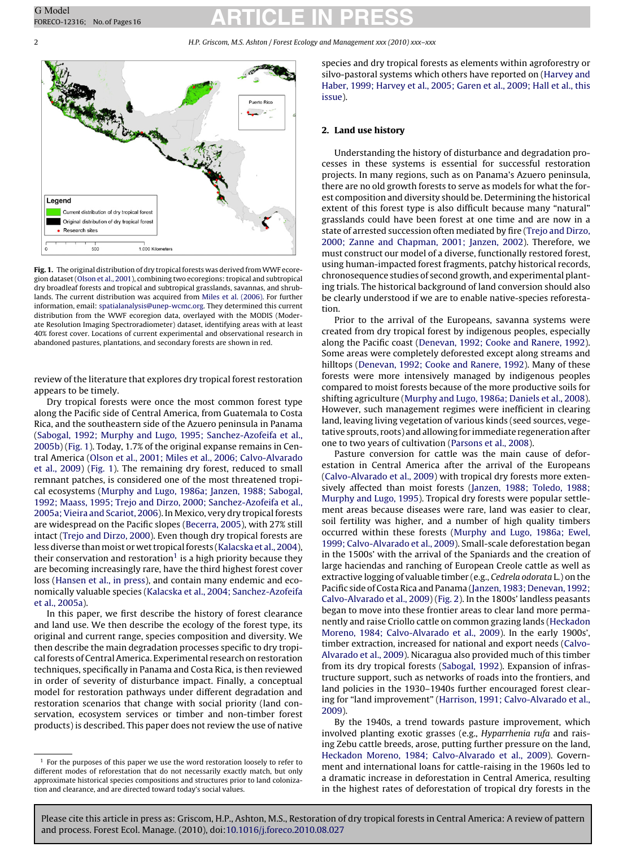<span id="page-1-0"></span>2 H.P. Griscom, M.S. Ashton / Forest Ecology and Management xxx (2010) xxx–xxx



**Fig. 1.** The original distribution of dry tropical forests was derived fromWWF ecoregion dataset [\(Olson et al., 2001\),](#page-14-0) combining two ecoregions: tropical and subtropical dry broadleaf forests and tropical and subtropical grasslands, savannas, and shrublands. The current distribution was acquired from [Miles et al. \(2006\). F](#page-14-0)or further information, email: [spatialanalysis@unep-wcmc.org.](mailto:spatialanalysis@unep-wcmc.org) They determined this current distribution from the WWF ecoregion data, overlayed with the MODIS (Moderate Resolution Imaging Spectroradiometer) dataset, identifying areas with at least 40% forest cover. Locations of current experimental and observational research in abandoned pastures, plantations, and secondary forests are shown in red.

review of the literature that explores dry tropical forest restoration appears to be timely.

Dry tropical forests were once the most common forest type along the Pacific side of Central America, from Guatemala to Costa Rica, and the southeastern side of the Azuero peninsula in Panama ([Sabogal, 1992; Murphy and Lugo, 1995; Sanchez-Azofeifa et al.,](#page-14-0) [2005b\) \(](#page-14-0)Fig. 1). Today, 1.7% of the original expanse remains in Central America [\(Olson et al., 2001; Miles et al., 2006; Calvo-Alvarado](#page-14-0) [et al., 2009\)](#page-14-0) (Fig. 1). The remaining dry forest, reduced to small remnant patches, is considered one of the most threatened tropical ecosystems ([Murphy and Lugo, 1986a; Janzen, 1988; Sabogal,](#page-14-0) [1992; Maass, 1995; Trejo and Dirzo, 2000; Sanchez-Azofeifa et al.,](#page-14-0) [2005a; Vieira and Scariot, 2006\).](#page-14-0) In Mexico, very dry tropical forests are widespread on the Pacific slopes [\(Becerra, 2005\),](#page-12-0) with 27% still intact ([Trejo and Dirzo, 2000\).](#page-14-0) Even though dry tropical forests are less diverse than moist or wet tropical forests [\(Kalacska et al., 2004\),](#page-13-0) their conservation and restoration<sup>1</sup> is a high priority because they are becoming increasingly rare, have the third highest forest cover loss ([Hansen et al., in press\),](#page-13-0) and contain many endemic and economically valuable species ([Kalacska et al., 2004; Sanchez-Azofeifa](#page-13-0) [et al., 2005a\).](#page-13-0)

In this paper, we first describe the history of forest clearance and land use. We then describe the ecology of the forest type, its original and current range, species composition and diversity. We then describe the main degradation processes specific to dry tropical forests of Central America. Experimental research on restoration techniques, specifically in Panama and Costa Rica, is then reviewed in order of severity of disturbance impact. Finally, a conceptual model for restoration pathways under different degradation and restoration scenarios that change with social priority (land conservation, ecosystem services or timber and non-timber forest products) is described. This paper does not review the use of native

species and dry tropical forests as elements within agroforestry or silvo-pastoral systems which others have reported on ([Harvey and](#page-13-0) [Haber, 1999; Harvey et al., 2005; Garen et al., 2009; Hall et al., this](#page-13-0) [issue\).](#page-13-0)

#### **2. Land use history**

Understanding the history of disturbance and degradation processes in these systems is essential for successful restoration projects. In many regions, such as on Panama's Azuero peninsula, there are no old growth forests to serve as models for what the forest composition and diversity should be. Determining the historical extent of this forest type is also difficult because many "natural" grasslands could have been forest at one time and are now in a state of arrested succession often mediated by fire [\(Trejo and Dirzo,](#page-14-0) [2000; Zanne and Chapman, 2001; Janzen, 2002\).](#page-14-0) Therefore, we must construct our model of a diverse, functionally restored forest, using human-impacted forest fragments, patchy historical records, chronosequence studies of second growth, and experimental planting trials. The historical background of land conversion should also be clearly understood if we are to enable native-species reforestation.

Prior to the arrival of the Europeans, savanna systems were created from dry tropical forest by indigenous peoples, especially along the Pacific coast [\(Denevan, 1992; Cooke and Ranere, 1992\).](#page-12-0) Some areas were completely deforested except along streams and hilltops ([Denevan, 1992; Cooke and Ranere, 1992\).](#page-12-0) Many of these forests were more intensively managed by indigenous peoples compared to moist forests because of the more productive soils for shifting agriculture ([Murphy and Lugo, 1986a; Daniels et al., 2008\).](#page-14-0) However, such management regimes were inefficient in clearing land, leaving living vegetation of various kinds (seed sources, vegetative sprouts, roots) and allowing for immediate regeneration after one to two years of cultivation ([Parsons et al., 2008\).](#page-14-0)

Pasture conversion for cattle was the main cause of deforestation in Central America after the arrival of the Europeans [\(Calvo-Alvarado et al., 2009\) w](#page-12-0)ith tropical dry forests more extensively affected than moist forests ([Janzen, 1988; Toledo, 1988;](#page-13-0) [Murphy and Lugo, 1995\).](#page-13-0) Tropical dry forests were popular settlement areas because diseases were rare, land was easier to clear, soil fertility was higher, and a number of high quality timbers occurred within these forests [\(Murphy and Lugo, 1986a; Ewel,](#page-14-0) [1999; Calvo-Alvarado et al., 2009\).](#page-14-0) Small-scale deforestation began in the 1500s' with the arrival of the Spaniards and the creation of large haciendas and ranching of European Creole cattle as well as extractive logging of valuable timber (e.g., Cedrela odorata L.) on the Pacific side of Costa Rica and Panama [\(Janzen, 1983; Denevan, 1992;](#page-13-0) [Calvo-Alvarado et al., 2009\)](#page-13-0) [\(Fig. 2\).](#page-3-0) In the 1800s' landless peasants began to move into these frontier areas to clear land more permanently and raise Criollo cattle on common grazing lands ([Heckadon](#page-13-0) [Moreno, 1984; Calvo-Alvarado et al., 2009\).](#page-13-0) In the early 1900s', timber extraction, increased for national and export needs ([Calvo-](#page-12-0)Alvarado [et al., 2009\).](#page-12-0) Nicaragua also provided much of this timber from its dry tropical forests [\(Sabogal, 1992\).](#page-14-0) Expansion of infrastructure support, such as networks of roads into the frontiers, and land policies in the 1930–1940s further encouraged forest clearing for "land improvement" [\(Harrison, 1991; Calvo-Alvarado et al.,](#page-13-0) [2009\).](#page-13-0)

By the 1940s, a trend towards pasture improvement, which involved planting exotic grasses (e.g., Hyparrhenia rufa and raising Zebu cattle breeds, arose, putting further pressure on the land, [Heckadon Moreno, 1984; Calvo-Alvarado et al., 2009\).](#page-13-0) Government and international loans for cattle-raising in the 1960s led to a dramatic increase in deforestation in Central America, resulting in the highest rates of deforestation of tropical dry forests in the

 $1$  For the purposes of this paper we use the word restoration loosely to refer to different modes of reforestation that do not necessarily exactly match, but only approximate historical species compositions and structures prior to land colonization and clearance, and are directed toward today's social values.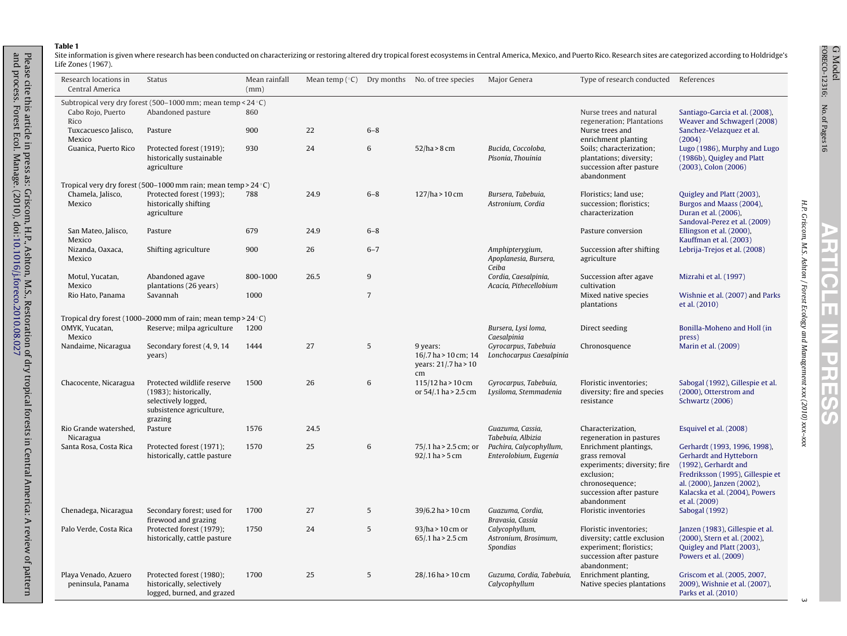#### <span id="page-2-0"></span>**Table 1**

Site information is given where research has been conducted on characterizing or restoring altered dry tropical forest ecosystems in Central America, Mexico, and Puerto Rico. Research sites are categorized according to Hol Life Zones (1967).

| Research locations in                     | <b>Status</b>                                                                                                     | Mean rainfall |      |                | Mean temp $(°C)$ Dry months No. of tree species                | Major Genera                                       | Type of research conducted References                                                                                                              |                                                                                                                                                                                                     |
|-------------------------------------------|-------------------------------------------------------------------------------------------------------------------|---------------|------|----------------|----------------------------------------------------------------|----------------------------------------------------|----------------------------------------------------------------------------------------------------------------------------------------------------|-----------------------------------------------------------------------------------------------------------------------------------------------------------------------------------------------------|
| Central America                           |                                                                                                                   | (mm)          |      |                |                                                                |                                                    |                                                                                                                                                    |                                                                                                                                                                                                     |
|                                           | Subtropical very dry forest (500–1000 mm; mean temp < 24 °C)                                                      |               |      |                |                                                                |                                                    |                                                                                                                                                    |                                                                                                                                                                                                     |
| Cabo Rojo, Puerto<br>Rico                 | Abandoned pasture                                                                                                 | 860           |      |                |                                                                |                                                    | Nurse trees and natural<br>regeneration; Plantations                                                                                               | Santiago-Garcia et al. (2008),<br>Weaver and Schwagerl (2008)                                                                                                                                       |
| Tuxcacuesco Jalisco,<br>Mexico            | Pasture                                                                                                           | 900           | 22   | $6 - 8$        |                                                                |                                                    | Nurse trees and<br>enrichment planting                                                                                                             | Sanchez-Velazquez et al.<br>(2004)                                                                                                                                                                  |
| Guanica, Puerto Rico                      | Protected forest (1919);<br>historically sustainable<br>agriculture                                               | 930           | 24   | 6              | 52/ha > 8 cm                                                   | Bucida, Coccoloba,<br>Pisonia, Thouinia            | Soils; characterization;<br>plantations; diversity;<br>succession after pasture<br>abandonment                                                     | Lugo (1986), Murphy and Lugo<br>(1986b), Quigley and Platt<br>(2003), Colon (2006)                                                                                                                  |
|                                           | Tropical very dry forest (500–1000 mm rain; mean temp > 24 °C)                                                    |               |      |                |                                                                |                                                    |                                                                                                                                                    |                                                                                                                                                                                                     |
| Chamela, Jalisco,<br>Mexico               | Protected forest (1993);<br>historically shifting<br>agriculture                                                  | 788           | 24.9 | $6 - 8$        | 127/ha > 10 cm                                                 | Bursera, Tabebuia,<br>Astronium, Cordia            | Floristics; land use;<br>succession; floristics;<br>characterization                                                                               | Quigley and Platt (2003),<br>Burgos and Maass (2004),<br>Duran et al. (2006),<br>Sandoval-Perez et al. (2009)                                                                                       |
| San Mateo, Jalisco,<br>Mexico             | Pasture                                                                                                           | 679           | 24.9 | $6 - 8$        |                                                                |                                                    | Pasture conversion                                                                                                                                 | Ellingson et al. (2000),<br>Kauffman et al. (2003)                                                                                                                                                  |
| Nizanda, Oaxaca,<br>Mexico                | Shifting agriculture                                                                                              | 900           | 26   | $6 - 7$        |                                                                | Amphipterygium,<br>Apoplanesia, Bursera,<br>Ceiba  | Succession after shifting<br>agriculture                                                                                                           | Lebrija-Trejos et al. (2008)                                                                                                                                                                        |
| Motul, Yucatan,<br>Mexico                 | Abandoned agave<br>plantations (26 years)                                                                         | 800-1000      | 26.5 | 9              |                                                                | Cordia, Caesalpinia,<br>Acacia, Pithecellobium     | Succession after agave<br>cultivation                                                                                                              | Mizrahi et al. (1997)                                                                                                                                                                               |
| Rio Hato, Panama                          | Savannah                                                                                                          | 1000          |      | $\overline{7}$ |                                                                |                                                    | Mixed native species<br>plantations                                                                                                                | Wishnie et al. (2007) and Parks<br>et al. (2010)                                                                                                                                                    |
|                                           | Tropical dry forest (1000–2000 mm of rain; mean temp > 24 °C)                                                     |               |      |                |                                                                |                                                    |                                                                                                                                                    |                                                                                                                                                                                                     |
| OMYK, Yucatan,<br>Mexico                  | Reserve; milpa agriculture                                                                                        | 1200          |      |                |                                                                | Bursera, Lysi loma,<br>Caesalpinia                 | Direct seeding                                                                                                                                     | Bonilla-Moheno and Holl (in<br>press)                                                                                                                                                               |
| Nandaime, Nicaragua                       | Secondary forest (4, 9, 14<br>years)                                                                              | 1444          | 27   | 5              | 9 years:<br>16/.7 ha > 10 cm; 14<br>years: 21/.7 ha > 10<br>cm | Gyrocarpus, Tabebuia<br>Lonchocarpus Caesalpinia   | Chronosquence                                                                                                                                      | Marin et al. (2009)                                                                                                                                                                                 |
| Chacocente, Nicaragua                     | Protected wildlife reserve<br>(1983); historically,<br>selectively logged,<br>subsistence agriculture,<br>grazing | 1500          | 26   | $\,6\,$        | $115/12$ ha > $10$ cm<br>or 54/.1 ha > 2.5 cm                  | Gyrocarpus, Tabebuia,<br>Lysiloma, Stemmadenia     | Floristic inventories;<br>diversity; fire and species<br>resistance                                                                                | Sabogal (1992), Gillespie et al.<br>(2000), Otterstrom and<br>Schwartz (2006)                                                                                                                       |
| Rio Grande watershed,<br>Nicaragua        | Pasture                                                                                                           | 1576          | 24.5 |                |                                                                | Guazuma, Cassia,<br>Tabebuia, Albizia              | Characterization,<br>regeneration in pastures                                                                                                      | Esquivel et al. (2008)                                                                                                                                                                              |
| Santa Rosa, Costa Rica                    | Protected forest (1971);<br>historically, cattle pasture                                                          | 1570          | 25   | $\,6\,$        | 75/.1 ha > 2.5 cm; or<br>92/.1 ha > 5 cm                       | Pachira, Calycophyllum,<br>Enterolobium, Eugenia   | Enrichment plantings,<br>grass removal<br>experiments; diversity; fire<br>exclusion;<br>chronosequence;<br>succession after pasture<br>abandonment | Gerhardt (1993, 1996, 1998),<br>Gerhardt and Hytteborn<br>(1992). Gerhardt and<br>Fredriksson (1995), Gillespie et<br>al. (2000), Janzen (2002),<br>Kalacska et al. (2004), Powers<br>et al. (2009) |
| Chenadega, Nicaragua                      | Secondary forest; used for<br>firewood and grazing                                                                | 1700          | 27   | 5              | 39/6.2 ha > 10 cm                                              | Guazuma, Cordia,<br>Bravasia, Cassia               | Floristic inventories                                                                                                                              | Sabogal (1992)                                                                                                                                                                                      |
| Palo Verde, Costa Rica                    | Protected forest (1979);<br>historically, cattle pasture                                                          | 1750          | 24   | 5              | 93/ha > 10 cm or<br>65/.1 ha > 2.5 cm                          | Calycophyllum,<br>Astronium, Brosimum,<br>Spondias | Floristic inventories;<br>diversity; cattle exclusion<br>experiment; floristics;<br>succession after pasture<br>abandonment;                       | Janzen (1983), Gillespie et al.<br>(2000), Stern et al. (2002),<br>Quigley and Platt (2003),<br>Powers et al. (2009)                                                                                |
| Playa Venado, Azuero<br>peninsula, Panama | Protected forest (1980);<br>historically, selectively<br>logged, burned, and grazed                               | 1700          | 25   | 5              | $28/.16$ ha > $10$ cm                                          | Guzuma, Cordia, Tabebuia,<br>Calycophyllum         | Enrichment planting,<br>Native species plantations                                                                                                 | Griscom et al. (2005, 2007,<br>2009), Wishnie et al. (2007),<br>Parks et al. (2010)                                                                                                                 |

G Model<br>PRESS PORTICLE IN PRESS<br>PORCO-12316; No.of Pages 16 h s **RTICLE IN PRESS** 

G Model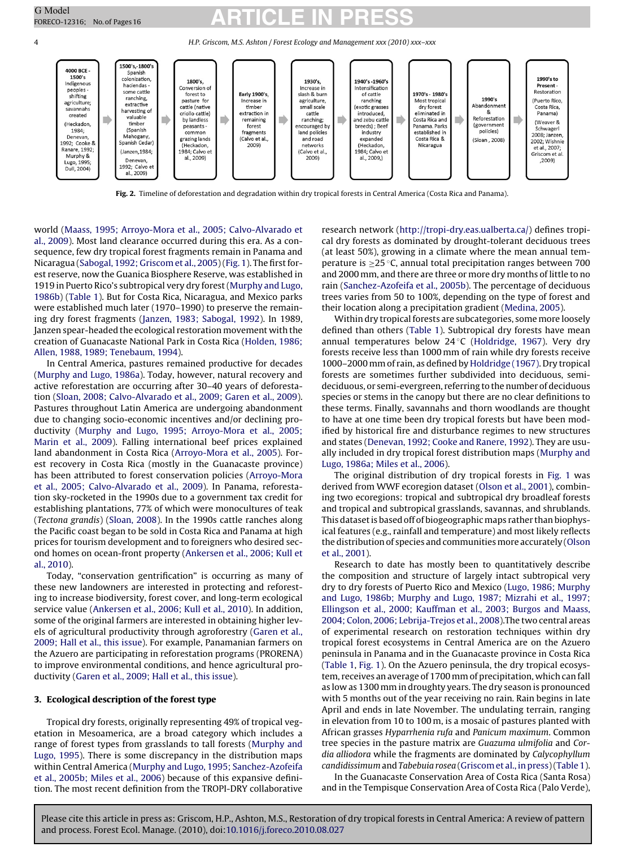<span id="page-3-0"></span>4 H.P. Griscom, M.S. Ashton / Forest Ecology and Management xxx (2010) xxx–xxx



**Fig. 2.** Timeline of deforestation and degradation within dry tropical forests in Central America (Costa Rica and Panama).

world [\(Maass, 1995; Arroyo-Mora et al., 2005; Calvo-Alvarado et](#page-13-0) [al., 2009\).](#page-13-0) Most land clearance occurred during this era. As a consequence, few dry tropical forest fragments remain in Panama and Nicaragua ([Sabogal, 1992; Griscom et al., 2005\) \(](#page-14-0)[Fig. 1\).](#page-1-0) The first forest reserve, now the Guanica Biosphere Reserve, was established in 1919 in Puerto Rico's subtropical very dry forest [\(Murphy and Lugo,](#page-14-0) [1986b\)](#page-14-0) ([Table 1\).](#page-2-0) But for Costa Rica, Nicaragua, and Mexico parks were established much later (1970–1990) to preserve the remaining dry forest fragments ([Janzen, 1983; Sabogal, 1992\).](#page-13-0) In 1989, Janzen spear-headed the ecological restoration movement with the creation of Guanacaste National Park in Costa Rica [\(Holden, 1986;](#page-13-0) [Allen, 1988, 1989; Tenebaum, 1994\).](#page-13-0)

In Central America, pastures remained productive for decades ([Murphy and Lugo, 1986a\).](#page-14-0) Today, however, natural recovery and active reforestation are occurring after 30–40 years of deforestation ([Sloan, 2008; Calvo-Alvarado et al., 2009; Garen et al., 2009\).](#page-14-0) Pastures throughout Latin America are undergoing abandonment due to changing socio-economic incentives and/or declining productivity ([Murphy and Lugo, 1995; Arroyo-Mora et al., 2005;](#page-14-0) [Marin et al., 2009\).](#page-14-0) Falling international beef prices explained land abandonment in Costa Rica ([Arroyo-Mora et al., 2005\).](#page-12-0) Forest recovery in Costa Rica (mostly in the Guanacaste province) has been attributed to forest conservation policies ([Arroyo-Mora](#page-12-0) [et al., 2005; Calvo-Alvarado et al., 2009\).](#page-12-0) In Panama, reforestation sky-rocketed in the 1990s due to a government tax credit for establishing plantations, 77% of which were monocultures of teak (Tectona grandis) [\(Sloan, 2008\).](#page-14-0) In the 1990s cattle ranches along the Pacific coast began to be sold in Costa Rica and Panama at high prices for tourism development and to foreigners who desired second homes on ocean-front property ([Ankersen et al., 2006; Kull et](#page-12-0) [al., 2010\).](#page-12-0)

Today, "conservation gentrification" is occurring as many of these new landowners are interested in protecting and reforesting to increase biodiversity, forest cover, and long-term ecological service value [\(Ankersen et al., 2006; Kull et al., 2010\).](#page-12-0) In addition, some of the original farmers are interested in obtaining higher levels of agricultural productivity through agroforestry [\(Garen et al.,](#page-13-0) [2009; Hall et al., this issue\).](#page-13-0) For example, Panamanian farmers on the Azuero are participating in reforestation programs (PRORENA) to improve environmental conditions, and hence agricultural productivity [\(Garen et al., 2009; Hall et al., this issue\).](#page-13-0)

#### **3. Ecological description of the forest type**

Tropical dry forests, originally representing 49% of tropical vegetation in Mesoamerica, are a broad category which includes a range of forest types from grasslands to tall forests ([Murphy and](#page-14-0) [Lugo, 1995\).](#page-14-0) There is some discrepancy in the distribution maps within Central America [\(Murphy and Lugo, 1995; Sanchez-Azofeifa](#page-14-0) [et al., 2005b; Miles et al., 2006\)](#page-14-0) because of this expansive definition. The most recent definition from the TROPI-DRY collaborative

research network [\(http://tropi-dry.eas.ualberta.ca/](http://tropi-dry.eas.ualberta.ca/)) defines tropical dry forests as dominated by drought-tolerant deciduous trees (at least 50%), growing in a climate where the mean annual temperature is ≥25 °C, annual total precipitation ranges between 700 and 2000 mm, and there are three or more dry months of little to no rain ([Sanchez-Azofeifa et al., 2005b\).](#page-14-0) The percentage of deciduous trees varies from 50 to 100%, depending on the type of forest and their location along a precipitation gradient ([Medina, 2005\).](#page-14-0)

Within dry tropical forests are subcategories, some more loosely defined than others ([Table 1\).](#page-2-0) Subtropical dry forests have mean annual temperatures below  $24^{\circ}$ C ([Holdridge, 1967\).](#page-13-0) Very dry forests receive less than 1000 mm of rain while dry forests receive 1000–2000 mm of rain, as defined by [Holdridge \(1967\). D](#page-13-0)ry tropical forests are sometimes further subdivided into deciduous, semideciduous, or semi-evergreen, referring to the number of deciduous species or stems in the canopy but there are no clear definitions to these terms. Finally, savannahs and thorn woodlands are thought to have at one time been dry tropical forests but have been modified by historical fire and disturbance regimes to new structures and states [\(Denevan, 1992; Cooke and Ranere, 1992\).](#page-12-0) They are usually included in dry tropical forest distribution maps ([Murphy and](#page-14-0) [Lugo, 1986a; Miles et al., 2006\).](#page-14-0)

The original distribution of dry tropical forests in [Fig. 1](#page-1-0) was derived from WWF ecoregion dataset ([Olson et al., 2001\),](#page-14-0) combining two ecoregions: tropical and subtropical dry broadleaf forests and tropical and subtropical grasslands, savannas, and shrublands. This dataset is based off of biogeographicmaps rather than biophysical features (e.g., rainfall and temperature) and most likely reflects the distribution of species and communities more accurately [\(Olson](#page-14-0) [et al., 2001\).](#page-14-0)

Research to date has mostly been to quantitatively describe the composition and structure of largely intact subtropical very dry to dry forests of Puerto Rico and Mexico [\(Lugo, 1986; Murphy](#page-13-0) [and Lugo, 1986b; Murphy and Lugo, 1987; Mizrahi et al., 1997;](#page-13-0) [Ellingson et al., 2000; Kauffman et al., 2003; Burgos and Maass,](#page-13-0) [2004; Colon, 2006; Lebrija-Trejos et al., 2008\).](#page-13-0)The two central areas of experimental research on restoration techniques within dry tropical forest ecosystems in Central America are on the Azuero peninsula in Panama and in the Guanacaste province in Costa Rica [\(Table 1,](#page-2-0) [Fig. 1\).](#page-1-0) On the Azuero peninsula, the dry tropical ecosystem, receives an average of 1700 mm of precipitation, which can fall as low as 1300 mm in droughty years. The dry season is pronounced with 5 months out of the year receiving no rain. Rain begins in late April and ends in late November. The undulating terrain, ranging in elevation from 10 to 100 m, is a mosaic of pastures planted with African grasses Hyparrhenia rufa and Panicum maximum. Common tree species in the pasture matrix are Guazuma ulmifolia and Cordia alliodora while the fragments are dominated by Calycophyllum candidissimum and Tabebuia rosea ([Griscom et al., in press\) \(](#page-13-0)[Table 1\).](#page-2-0)

In the Guanacaste Conservation Area of Costa Rica (Santa Rosa) and in the Tempisque Conservation Area of Costa Rica (Palo Verde),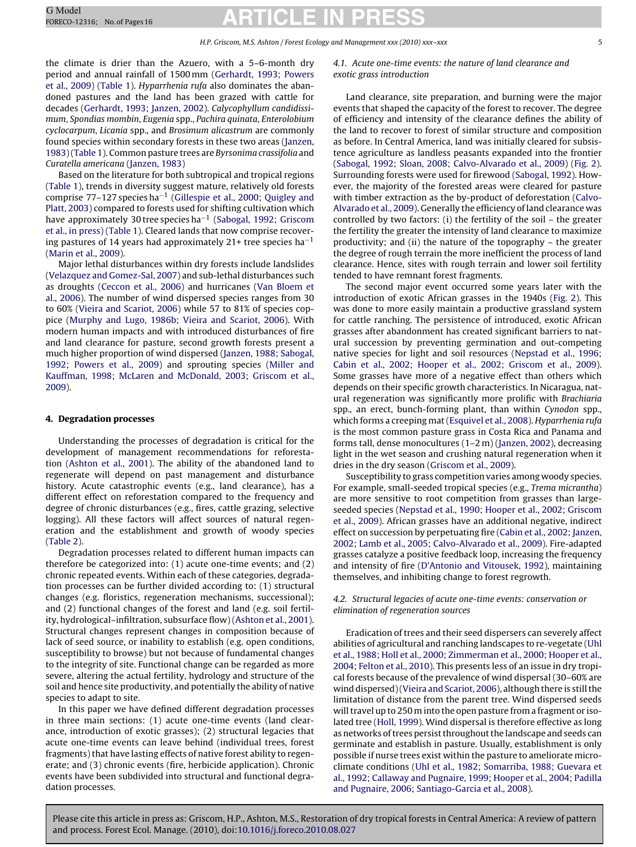#### H.P. Griscom, M.S. Ashton / Forest Ecology and Management xxx (2010) xxx–xxx 5

the climate is drier than the Azuero, with a 5–6-month dry period and annual rainfall of 1500 mm [\(Gerhardt, 1993; Powers](#page-13-0) [et al., 2009\)](#page-13-0) [\(Table 1\).](#page-2-0) Hyparrhenia rufa also dominates the abandoned pastures and the land has been grazed with cattle for decades ([Gerhardt, 1993; Janzen, 2002\).](#page-13-0) Calycophyllum candidissimum, Spondias mombin, Eugenia spp., Pachira quinata, Enterolobium cyclocarpum, Licania spp., and Brosimum alicastrum are commonly found species within secondary forests in these two areas ([Janzen,](#page-13-0) [1983\) \(](#page-13-0)[Table 1\).](#page-2-0) Common pasture trees are Byrsonima crassifolia and Curatella americana ([Janzen, 1983\)](#page-13-0)

Based on the literature for both subtropical and tropical regions ([Table 1\),](#page-2-0) trends in diversity suggest mature, relatively old forests comprise 77–127 species ha−<sup>1</sup> ([Gillespie et al., 2000; Quigley and](#page-13-0) [Platt, 2003\) c](#page-13-0)ompared to forests used for shifting cultivation which have approximately 30 tree species ha−<sup>1</sup> [\(Sabogal, 1992; Griscom](#page-14-0) [et al., in press\) \(](#page-14-0)[Table 1\).](#page-2-0) Cleared lands that now comprise recovering pastures of 14 years had approximately 21+ tree species ha<sup>-1</sup> ([Marin et al., 2009\).](#page-13-0)

Major lethal disturbances within dry forests include landslides ([Velazquez and Gomez-Sal, 2007\) a](#page-14-0)nd sub-lethal disturbances such as droughts ([Ceccon et al., 2006\)](#page-12-0) and hurricanes ([Van Bloem et](#page-14-0) [al., 2006\).](#page-14-0) The number of wind dispersed species ranges from 30 to 60% ([Vieira and Scariot, 2006\)](#page-14-0) while 57 to 81% of species coppice [\(Murphy and Lugo, 1986b; Vieira and Scariot, 2006\).](#page-14-0) With modern human impacts and with introduced disturbances of fire and land clearance for pasture, second growth forests present a much higher proportion of wind dispersed [\(Janzen, 1988; Sabogal,](#page-13-0) [1992; Powers et al., 2009\)](#page-13-0) and sprouting species [\(Miller and](#page-14-0) [Kauffman, 1998; McLaren and McDonald, 2003; Griscom et al.,](#page-14-0) [2009\).](#page-14-0)

#### **4. Degradation processes**

Understanding the processes of degradation is critical for the development of management recommendations for reforestation ([Ashton et al., 2001\).](#page-12-0) The ability of the abandoned land to regenerate will depend on past management and disturbance history. Acute catastrophic events (e.g., land clearance), has a different effect on reforestation compared to the frequency and degree of chronic disturbances (e.g., fires, cattle grazing, selective logging). All these factors will affect sources of natural regeneration and the establishment and growth of woody species ([Table 2\).](#page-5-0)

Degradation processes related to different human impacts can therefore be categorized into: (1) acute one-time events; and (2) chronic repeated events. Within each of these categories, degradation processes can be further divided according to: (1) structural changes (e.g. floristics, regeneration mechanisms, successional); and (2) functional changes of the forest and land (e.g. soil fertility, hydrological–infiltration, subsurface flow) [\(Ashton et al., 2001\).](#page-12-0) Structural changes represent changes in composition because of lack of seed source, or inability to establish (e.g. open conditions, susceptibility to browse) but not because of fundamental changes to the integrity of site. Functional change can be regarded as more severe, altering the actual fertility, hydrology and structure of the soil and hence site productivity, and potentially the ability of native species to adapt to site.

In this paper we have defined different degradation processes in three main sections: (1) acute one-time events (land clearance, introduction of exotic grasses); (2) structural legacies that acute one-time events can leave behind (individual trees, forest fragments) that have lasting effects of native forest ability to regenerate; and (3) chronic events (fire, herbicide application). Chronic events have been subdivided into structural and functional degradation processes.

#### 4.1. Acute one-time events: the nature of land clearance and exotic grass introduction

Land clearance, site preparation, and burning were the major events that shaped the capacity of the forest to recover. The degree of efficiency and intensity of the clearance defines the ability of the land to recover to forest of similar structure and composition as before. In Central America, land was initially cleared for subsistence agriculture as landless peasants expanded into the frontier [\(Sabogal, 1992; Sloan, 2008; Calvo-Alvarado et al., 2009\)](#page-14-0) [\(Fig. 2\).](#page-3-0) Surrounding forests were used for firewood ([Sabogal, 1992\).](#page-14-0) However, the majority of the forested areas were cleared for pasture with timber extraction as the by-product of deforestation [\(Calvo-](#page-12-0)Alvarado [et al., 2009\).](#page-12-0) Generally the efficiency of land clearance was controlled by two factors: (i) the fertility of the soil – the greater the fertility the greater the intensity of land clearance to maximize productivity; and (ii) the nature of the topography – the greater the degree of rough terrain the more inefficient the process of land clearance. Hence, sites with rough terrain and lower soil fertility tended to have remnant forest fragments.

The second major event occurred some years later with the introduction of exotic African grasses in the 1940s [\(Fig. 2\).](#page-3-0) This was done to more easily maintain a productive grassland system for cattle ranching. The persistence of introduced, exotic African grasses after abandonment has created significant barriers to natural succession by preventing germination and out-competing native species for light and soil resources [\(Nepstad et al., 1996;](#page-14-0) [Cabin et al., 2002; Hooper et al., 2002; Griscom et al., 2009\).](#page-14-0) Some grasses have more of a negative effect than others which depends on their specific growth characteristics. In Nicaragua, natural regeneration was significantly more prolific with Brachiaria spp., an erect, bunch-forming plant, than within Cynodon spp., which forms a creeping mat ([Esquivel et al., 2008\).](#page-12-0) Hyparrhenia rufa is the most common pasture grass in Costa Rica and Panama and forms tall, dense monocultures (1–2 m) [\(Janzen, 2002\),](#page-13-0) decreasing light in the wet season and crushing natural regeneration when it dries in the dry season [\(Griscom et al., 2009\).](#page-13-0)

Susceptibility to grass competition varies among woody species. For example, small-seeded tropical species (e.g., Trema micrantha) are more sensitive to root competition from grasses than largeseeded species ([Nepstad et al., 1990; Hooper et al., 2002; Griscom](#page-14-0) [et al., 2009\).](#page-14-0) African grasses have an additional negative, indirect effect on succession by perpetuating fire [\(Cabin et al., 2002; Janzen,](#page-12-0) [2002; Lamb et al., 2005; Calvo-Alvarado et al., 2009\).](#page-12-0) Fire-adapted grasses catalyze a positive feedback loop, increasing the frequency and intensity of fire [\(D'Antonio and Vitousek, 1992\),](#page-12-0) maintaining themselves, and inhibiting change to forest regrowth.

#### 4.2. Structural legacies of acute one-time events: conservation or elimination of regeneration sources

Eradication of trees and their seed dispersers can severely affect abilities of agricultural and ranching landscapes to re-vegetate [\(Uhl](#page-14-0) [et al., 1988; Holl et al., 2000; Zimmerman et al., 2000; Hooper et al.,](#page-14-0) [2004; Felton et al., 2010\).](#page-14-0) This presents less of an issue in dry tropical forests because of the prevalence of wind dispersal (30–60% are wind dispersed) [\(Vieira and Scariot, 2006\),](#page-14-0) although there is still the limitation of distance from the parent tree. Wind dispersed seeds will travel up to 250 m into the open pasture from a fragment or isolated tree [\(Holl, 1999\).](#page-13-0) Wind dispersal is therefore effective as long as networks of trees persist throughout the landscape and seeds can germinate and establish in pasture. Usually, establishment is only possible if nurse trees exist within the pasture to ameliorate microclimate conditions [\(Uhl et al., 1982; Somarriba, 1988; Guevara et](#page-14-0) [al., 1992; Callaway and Pugnaire, 1999; Hooper et al., 2004; Padilla](#page-14-0) [and Pugnaire, 2006; Santiago-Garcia et al., 2008\).](#page-14-0)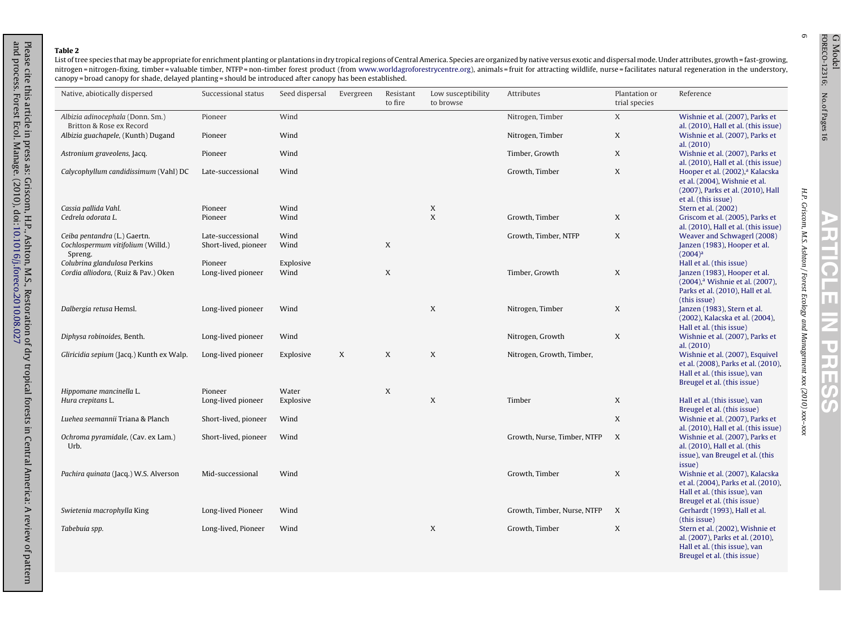#### **Table 2**

and process. Forest Ecol. Manage. (2010), doi:

Please cite this article in press as: Griscom, H.P., Ashton, M.S., Restoration of dry tropical forests in Central America: A review of pattern

<span id="page-5-0"></span>Please cite this article in press as: Griscom, H.P., Ashton, M.S., Restoration of dry tropical forests in Central America: A review of pattern<br>and process. Forest Ecol. Manage. (2010), doi:10.1016/j.foreco.2010.08.027

[10.1016/j.foreco.2010.08.027](dx.doi.org/10.1016/j.foreco.2010.08.027)

List of tree species that may be appropriate for enrichment planting or plantations in dry tropical regions of Central America. Species are organized by native versus exotic and dispersal mode. Under attributes, growth = f nitrogen=nitrogen-fixing, timber=valuable timber, NTFP=non-timber forest product (from [www.worldagroforestrycentre.org](http://www.worldagroforestrycentre.org/)), animals=fruit for attracting wildlife, nurse=facilitates natural regeneration in the understory, canopy <sup>=</sup> broad canopy for shade, delayed planting <sup>=</sup> should be introduced after canopy has been established.

| Native, abiotically dispersed                                                | Successional status                       | Seed dispersal     | Evergreen | Resistant<br>to fire | Low susceptibility<br>to browse | Attributes                  | Plantation or<br>trial species | Reference                                                                                                                                                   |
|------------------------------------------------------------------------------|-------------------------------------------|--------------------|-----------|----------------------|---------------------------------|-----------------------------|--------------------------------|-------------------------------------------------------------------------------------------------------------------------------------------------------------|
| Albizia adinocephala (Donn. Sm.)<br>Britton & Rose ex Record                 | Pioneer                                   | Wind               |           |                      |                                 | Nitrogen, Timber            | X                              | Wishnie et al. (2007), Parks et<br>al. (2010), Hall et al. (this issue)                                                                                     |
| Albizia guachapele, (Kunth) Dugand                                           | Pioneer                                   | Wind               |           |                      |                                 | Nitrogen, Timber            | X                              | Wishnie et al. (2007), Parks et<br>al. $(2010)$                                                                                                             |
| Astronium graveolens, Jacq.                                                  | Pioneer                                   | Wind               |           |                      |                                 | Timber, Growth              | X                              | Wishnie et al. (2007), Parks et<br>al. (2010), Hall et al. (this issue)                                                                                     |
| Calycophyllum candidissimum (Vahl) DC                                        | Late-successional                         | Wind               |           |                      |                                 | Growth, Timber              | X                              | Hooper et al. (2002), <sup>a</sup> Kalacska<br>et al. (2004), Wishnie et al.<br>(2007), Parks et al. (2010), Hall<br>et al. (this issue)                    |
| Cassia pallida Vahl.                                                         | Pioneer                                   | Wind               |           |                      | X                               |                             |                                | Stern et al. (2002)                                                                                                                                         |
| Cedrela odorata L.                                                           | Pioneer                                   | Wind               |           |                      | X                               | Growth, Timber              | X                              | Griscom et al. (2005), Parks et<br>al. (2010), Hall et al. (this issue)                                                                                     |
| Ceiba pentandra (L.) Gaertn.<br>Cochlospermum vitifolium (Willd.)<br>Spreng. | Late-successional<br>Short-lived, pioneer | Wind<br>Wind       |           | X                    |                                 | Growth, Timber, NTFP        | X                              | Weaver and Schwagerl (2008)<br>Janzen (1983), Hooper et al.<br>$(2004)^{a}$                                                                                 |
| Colubrina glandulosa Perkins<br>Cordia alliodora, (Ruiz & Pav.) Oken         | Pioneer<br>Long-lived pioneer             | Explosive<br>Wind  |           | $\mathbf X$          |                                 | Timber, Growth              | X                              | Hall et al. (this issue)<br>Janzen (1983), Hooper et al.<br>(2004), <sup>a</sup> Wishnie et al. (2007),<br>Parks et al. (2010), Hall et al.<br>(this issue) |
| Dalbergia retusa Hemsl.                                                      | Long-lived pioneer                        | Wind               |           |                      | X                               | Nitrogen, Timber            | X                              | Janzen (1983), Stern et al.<br>(2002), Kalacska et al. (2004),<br>Hall et al. (this issue)                                                                  |
| Diphysa robinoides, Benth.                                                   | Long-lived pioneer                        | Wind               |           |                      |                                 | Nitrogen, Growth            | X                              | Wishnie et al. (2007), Parks et<br>al. $(2010)$                                                                                                             |
| Gliricidia sepium (Jacq.) Kunth ex Walp.                                     | Long-lived pioneer                        | Explosive          | X         | X                    | X                               | Nitrogen, Growth, Timber,   |                                | Wishnie et al. (2007), Esquivel<br>et al. (2008), Parks et al. (2010),<br>Hall et al. (this issue), van<br>Breugel et al. (this issue)                      |
| Hippomane mancinella L.<br>Hura crepitans L.                                 | Pioneer<br>Long-lived pioneer             | Water<br>Explosive |           | X                    | X                               | Timber                      | X                              | Hall et al. (this issue), van                                                                                                                               |
| Luehea seemannii Triana & Planch                                             | Short-lived, pioneer                      | Wind               |           |                      |                                 |                             | X                              | Breugel et al. (this issue)<br>Wishnie et al. (2007), Parks et                                                                                              |
| Ochroma pyramidale, (Cav. ex Lam.)<br>Urb.                                   | Short-lived, pioneer                      | Wind               |           |                      |                                 | Growth, Nurse, Timber, NTFP | $\mathbf{X}$                   | al. (2010), Hall et al. (this issue)<br>Wishnie et al. (2007), Parks et<br>al. (2010), Hall et al. (this<br>issue), van Breugel et al. (this<br>issue)      |
| Pachira quinata (Jacq.) W.S. Alverson                                        | Mid-successional                          | Wind               |           |                      |                                 | Growth, Timber              | X                              | Wishnie et al. (2007), Kalacska<br>et al. (2004), Parks et al. (2010),<br>Hall et al. (this issue), van<br>Breugel et al. (this issue)                      |
| Swietenia macrophylla King                                                   | Long-lived Pioneer                        | Wind               |           |                      |                                 | Growth, Timber, Nurse, NTFP | X                              | Gerhardt (1993), Hall et al.<br>(this issue)                                                                                                                |
| Tabebuia spp.                                                                | Long-lived, Pioneer                       | Wind               |           |                      | X                               | Growth, Timber              | X                              | Stern et al. (2002), Wishnie et<br>al. (2007), Parks et al. (2010),<br>Hall et al. (this issue), van<br>Breugel et al. (this issue)                         |

H.P. Griscom, M.S. Ashton / Forest Ecology and Management xxx (2010) xxx–xxx

FORECO-12316; No. of Pages 16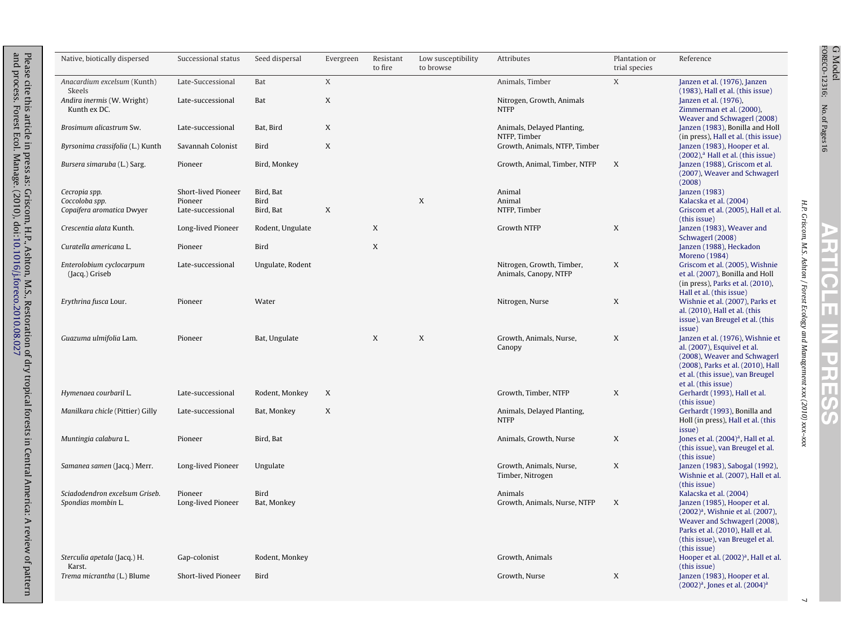| Native, biotically dispersed               | Successional status | Seed dispersal   | Evergreen | Resistant | Low susceptibility | Attributes                                         | Plantation or | Reference                                                                                                                                                                                       |
|--------------------------------------------|---------------------|------------------|-----------|-----------|--------------------|----------------------------------------------------|---------------|-------------------------------------------------------------------------------------------------------------------------------------------------------------------------------------------------|
|                                            |                     |                  |           | to fire   | to browse          |                                                    | trial species |                                                                                                                                                                                                 |
| Anacardium excelsum (Kunth)<br>Skeels      | Late-Successional   | Bat              | X         |           |                    | Animals, Timber                                    | X             | Janzen et al. (1976), Janzen<br>(1983), Hall et al. (this issue)                                                                                                                                |
| Andira inermis (W. Wright)<br>Kunth ex DC. | Late-successional   | Bat              | X         |           |                    | Nitrogen, Growth, Animals<br><b>NTFP</b>           |               | Janzen et al. (1976),<br>Zimmerman et al. (2000),<br>Weaver and Schwagerl (2008)                                                                                                                |
| Brosimum alicastrum Sw.                    | Late-successional   | Bat, Bird        | X         |           |                    | Animals, Delayed Planting,<br>NTFP, Timber         |               | Janzen (1983), Bonilla and Holl<br>(in press), Hall et al. (this issue)                                                                                                                         |
| Byrsonima crassifolia (L.) Kunth           | Savannah Colonist   | Bird             | X         |           |                    | Growth, Animals, NTFP, Timber                      |               | Janzen (1983), Hooper et al.<br>$(2002)a$ Hall et al. (this issue)                                                                                                                              |
| Bursera simaruba (L.) Sarg.                | Pioneer             | Bird, Monkey     |           |           |                    | Growth, Animal, Timber, NTFP                       | X             | Janzen (1988), Griscom et al.<br>(2007), Weaver and Schwagerl<br>(2008)                                                                                                                         |
| Cecropia spp.                              | Short-lived Pioneer | Bird, Bat        |           |           |                    | Animal                                             |               | Janzen (1983)                                                                                                                                                                                   |
| Coccoloba spp.                             | Pioneer             | Bird             |           |           | X                  | Animal                                             |               | Kalacska et al. (2004)                                                                                                                                                                          |
| Copaifera aromatica Dwyer                  | Late-successional   | Bird, Bat        | X         |           |                    | NTFP, Timber                                       |               | Griscom et al. (2005), Hall et al.<br>(this issue)                                                                                                                                              |
| Crescentia alata Kunth.                    | Long-lived Pioneer  | Rodent, Ungulate |           | X         |                    | <b>Growth NTFP</b>                                 | X             | Janzen (1983), Weaver and<br>Schwagerl (2008)                                                                                                                                                   |
| Curatella americana L.                     | Pioneer             | Bird             |           | X         |                    |                                                    |               | Janzen (1988), Heckadon<br>Moreno (1984)                                                                                                                                                        |
| Enterolobium cyclocarpum<br>(Jacq.) Griseb | Late-successional   | Ungulate, Rodent |           |           |                    | Nitrogen, Growth, Timber,<br>Animals, Canopy, NTFP | X             | Griscom et al. (2005), Wishnie<br>et al. (2007), Bonilla and Holl<br>(in press), Parks et al. (2010),<br>Hall et al. (this issue)                                                               |
| Erythrina fusca Lour.                      | Pioneer             | Water            |           |           |                    | Nitrogen, Nurse                                    | X             | Wishnie et al. (2007), Parks et<br>al. (2010), Hall et al. (this<br>issue), van Breugel et al. (this<br>issue)                                                                                  |
| Guazuma ulmifolia Lam.                     | Pioneer             | Bat, Ungulate    |           | X         | X                  | Growth, Animals, Nurse,<br>Canopy                  | X             | Janzen et al. (1976), Wishnie et<br>al. (2007), Esquivel et al.<br>(2008), Weaver and Schwagerl<br>(2008), Parks et al. (2010), Hall<br>et al. (this issue), van Breugel<br>et al. (this issue) |
| Hymenaea courbaril L.                      | Late-successional   | Rodent, Monkey   | X         |           |                    | Growth, Timber, NTFP                               | X             | Gerhardt (1993), Hall et al.<br>(this issue)                                                                                                                                                    |
| Manilkara chicle (Pittier) Gilly           | Late-successional   | Bat, Monkey      | X         |           |                    | Animals, Delayed Planting,<br><b>NTFP</b>          |               | Gerhardt (1993), Bonilla and<br>Holl (in press), Hall et al. (this<br>issue)                                                                                                                    |
| Muntingia calabura L.                      | Pioneer             | Bird, Bat        |           |           |                    | Animals, Growth, Nurse                             | X             | Jones et al. $(2004)^a$ , Hall et al.<br>(this issue), van Breugel et al.<br>(this issue)                                                                                                       |
| Samanea samen (Jacq.) Merr.                | Long-lived Pioneer  | Ungulate         |           |           |                    | Growth, Animals, Nurse,<br>Timber, Nitrogen        | X             | Janzen (1983), Sabogal (1992),<br>Wishnie et al. (2007), Hall et al.<br>(this issue)                                                                                                            |
| Sciadodendron excelsum Griseb.             | Pioneer             | Bird             |           |           |                    | Animals                                            |               | Kalacska et al. (2004)                                                                                                                                                                          |
| Spondias mombin L.                         | Long-lived Pioneer  | Bat, Monkey      |           |           |                    | Growth, Animals, Nurse, NTFP                       | X             | Janzen (1985), Hooper et al.<br>(2002) <sup>a</sup> , Wishnie et al. (2007),<br>Weaver and Schwagerl (2008),<br>Parks et al. (2010), Hall et al.<br>(this issue), van Breugel et al.            |
| Sterculia apetala (Jacq.) H.<br>Karst.     | Gap-colonist        | Rodent, Monkey   |           |           |                    | Growth, Animals                                    |               | (this issue)<br>Hooper et al. (2002) <sup>a</sup> , Hall et al.<br>(this issue)                                                                                                                 |
| Trema micrantha (L.) Blume                 | Short-lived Pioneer | Bird             |           |           |                    | Growth, Nurse                                      | X             | Janzen (1983), Hooper et al.<br>$(2002)^a$ . Jones et al. $(2004)^a$                                                                                                                            |

H.P. Griscom, M.S. Ashton / Forest Ecology and Management xxx (2010) xxx–xxx

**IRTICLE IN PRESS** 

H.P. Griscom, M.S. Ashton / Forest Ecology and Management xxx (2010) xxx-xxx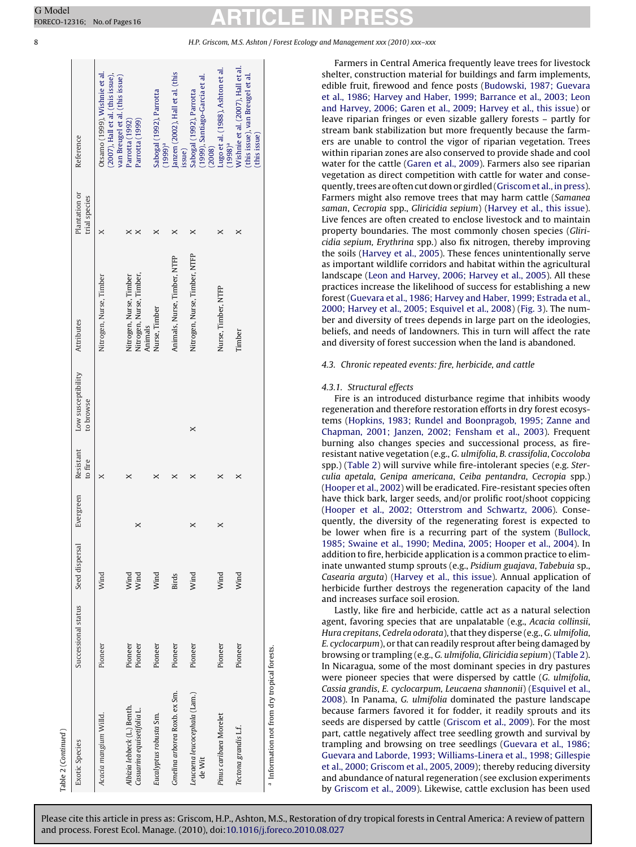<span id="page-7-0"></span>8 H.P. Griscom, M.S. Ashton / Forest Ecology and Management xxx (2010) xxx–xxx

 $\mathcal{L}^{\text{max}}_{\text{max}}$ 

Farmers in Central America frequently leave trees for livestock shelter, construction material for buildings and farm implements, edible fruit, firewood and fence posts ([Budowski, 1987; Guevara](#page-12-0) [et al., 1986; Harvey and Haber, 1999; Barrance et al., 2003; Leon](#page-12-0) [and Harvey, 2006; Garen et al., 2009; Harvey et al., this issue\)](#page-12-0) or leave riparian fringes or even sizable gallery forests – partly for stream bank stabilization but more frequently because the farmers are unable to control the vigor of riparian vegetation. Trees within riparian zones are also conserved to provide shade and cool water for the cattle [\(Garen et al., 2009\).](#page-13-0) Farmers also see riparian vegetation as direct competition with cattle for water and consequently, trees are often cut down or girdled ([Griscom et al., in press\).](#page-13-0) Farmers might also remove trees that may harm cattle (Samanea saman, Cecropia spp., Gliricidia sepium) [\(Harvey et al., this issue\).](#page-13-0) Live fences are often created to enclose livestock and to maintain property boundaries. The most commonly chosen species (Gliricidia sepium, Erythrina spp.) also fix nitrogen, thereby improving the soils [\(Harvey et al., 2005\).](#page-13-0) These fences unintentionally serve as important wildlife corridors and habitat within the agricultural landscape [\(Leon and Harvey, 2006; Harvey et al., 2005\).](#page-13-0) All these practices increase the likelihood of success for establishing a new forest [\(Guevara et al., 1986; Harvey and Haber, 1999; Estrada et al.,](#page-13-0) [2000; Harvey et al., 2005; Esquivel et al., 2008\)](#page-13-0) ([Fig. 3\).](#page-8-0) The number and diversity of trees depends in large part on the ideologies, beliefs, and needs of landowners. This in turn will affect the rate and diversity of forest succession when the land is abandoned.

#### 4.3. Chronic repeated events: fire, herbicide, and cattle

#### 4.3.1. Structural effects

Fire is an introduced disturbance regime that inhibits woody regeneration and therefore restoration efforts in dry forest ecosystems [\(Hopkins, 1983; Rundel and Boonpragob, 1995; Zanne and](#page-13-0) [Chapman, 2001; Janzen, 2002; Fensham et al., 2003\).](#page-13-0) Frequent burning also changes species and successional process, as fireresistant native vegetation (e.g., G. ulmifolia, B. crassifolia, Coccoloba spp.) ([Table 2\)](#page-5-0) will survive while fire-intolerant species (e.g. Sterculia apetala, Genipa americana, Ceiba pentandra, Cecropia spp.) [\(Hooper et al., 2002\)](#page-13-0) will be eradicated. Fire-resistant species often have thick bark, larger seeds, and/or prolific root/shoot coppicing [\(Hooper et al., 2002; Otterstrom and Schwartz, 2006\).](#page-13-0) Consequently, the diversity of the regenerating forest is expected to be lower when fire is a recurring part of the system ([Bullock,](#page-12-0) [1985; Swaine et al., 1990; Medina, 2005; Hooper et al., 2004\).](#page-12-0) In addition to fire, herbicide application is a common practice to eliminate unwanted stump sprouts (e.g., Psidium guajava, Tabebuia sp., Casearia arguta) [\(Harvey et al., this issue\).](#page-13-0) Annual application of herbicide further destroys the regeneration capacity of the land and increases surface soil erosion.

Lastly, like fire and herbicide, cattle act as a natural selection agent, favoring species that are unpalatable (e.g., Acacia collinsii, Hura crepitans, Cedrela odorata), that they disperse (e.g., G. ulmifolia, E. cyclocarpum), or that can readily resprout after being damaged by browsing or trampling (e.g., G. ulmifolia, Gliricidia sepium) [\(Table 2\).](#page-5-0) In Nicaragua, some of the most dominant species in dry pastures were pioneer species that were dispersed by cattle (G. ulmifolia, Cassia grandis, E. cyclocarpum, Leucaena shannonii) [\(Esquivel et al.,](#page-12-0) [2008\).](#page-12-0) In Panama, G. ulmifolia dominated the pasture landscape because farmers favored it for fodder, it readily sprouts and its seeds are dispersed by cattle ([Griscom et al., 2009\).](#page-13-0) For the most part, cattle negatively affect tree seedling growth and survival by trampling and browsing on tree seedlings ([Guevara et al., 1986;](#page-13-0) [Guevara and Laborde, 1993; Williams-Linera et al., 1998; Gillespie](#page-13-0) [et al., 2000; Griscom et al., 2005, 2009\);](#page-13-0) thereby reducing diversity and abundance of natural regeneration (see exclusion experiments by [Griscom et al., 2009\).](#page-13-0) Likewise, cattle exclusion has been used

| Table 2 (Continued)                                       |                     |                |           |                      |                                 |                                                                |                                |                                                                                                       |
|-----------------------------------------------------------|---------------------|----------------|-----------|----------------------|---------------------------------|----------------------------------------------------------------|--------------------------------|-------------------------------------------------------------------------------------------------------|
| <b>Exotic Species</b>                                     | Successional status | Seed dispersal | Evergreen | Resistant<br>to fire | Low susceptibility<br>to browse | Attributes                                                     | Plantation or<br>trial species | Reference                                                                                             |
| Acacia mangium Willd.                                     | Pioneer             | Wind           |           | ×                    |                                 | Nitrogen, Nurse, Timber                                        | ×                              | Otsamo (1999), Wishnie et al.<br>(2007), Hall et al. (this issue),<br>van Breugel et al. (this issue) |
| Albizia lebbeck (L.) Benth.<br>Casuarina equisetifolia L. | Pioneer<br>Pioneer  | Wind<br>Wind   | ×         | ×                    |                                 | Nitrogen, Nurse, Timber,<br>Nitrogen, Nurse, Timber<br>Animals | ×                              | Parrotta (1999)<br>Parrotta (1992)                                                                    |
| Eucalyptus robusta Sm.                                    | Pioneer             | Wind           |           | ×                    |                                 | Nurse, Timber                                                  | ×                              | Sabogal (1992), Parrotta<br>$(1999)^a$                                                                |
| Gmelina arborea Roxb. ex Sm.                              | Pioneer             | <b>Birds</b>   |           | ×                    |                                 | Animals, Nurse, Timber, NTFP                                   | ×                              | Janzen (2002), Hall et al. (this<br>issue)                                                            |
| Leucaena leucocephala (Lam.)<br>de Wit                    | Pioneer             | Wind           | ×         | ×                    | ×                               | Nitrogen, Nurse, Timber, NTFP                                  | ×                              | 1999), Santiago-Garcia et al.<br>Sabogal (1992), Parrotta                                             |
| Pinus caribaea Morelet                                    | Pioneer             | Wind           | ×         | ×                    |                                 | Nurse, Timber, NTFP                                            | ×                              | ugo et al. (1988), Ashton et al.<br>$^{6}$ (8661)<br>(2008)                                           |
| Tectona grandis L.f.                                      | Pioneer             | Wind           |           | ×                    |                                 | Timber                                                         | ×                              | Wishnie et al. (2007), Hall et al<br>(this issue), van Breugel et al.<br>(this issue)                 |
| a Information not from dry tropical forests.              |                     |                |           |                      |                                 |                                                                |                                |                                                                                                       |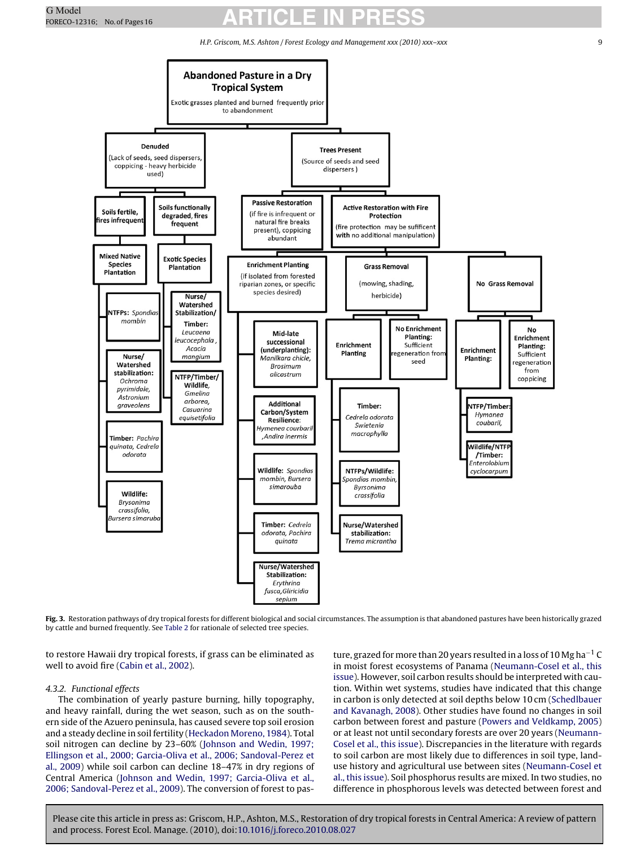H.P. Griscom, M.S. Ashton / Forest Ecology and Management xxx (2010) xxx-xxx

<span id="page-8-0"></span>

**Fig. 3.** Restoration pathways of dry tropical forests for different biological and social circumstances. The assumption is that abandoned pastures have been historically grazed by cattle and burned frequently. See [Table 2](#page-5-0) for rationale of selected tree species.

to restore Hawaii dry tropical forests, if grass can be eliminated as well to avoid fire [\(Cabin et al., 2002\).](#page-12-0)

#### 4.3.2. Functional effects

The combination of yearly pasture burning, hilly topography, and heavy rainfall, during the wet season, such as on the southern side of the Azuero peninsula, has caused severe top soil erosion and a steady decline in soil fertility ([Heckadon Moreno, 1984\).](#page-13-0) Total soil nitrogen can decline by 23–60% [\(Johnson and Wedin, 1997;](#page-13-0) [Ellingson et al., 2000; Garcia-Oliva et al., 2006; Sandoval-Perez et](#page-13-0) [al., 2009\)](#page-13-0) while soil carbon can decline 18–47% in dry regions of Central America [\(Johnson and Wedin, 1997; Garcia-Oliva et al.,](#page-13-0) [2006; Sandoval-Perez et al., 2009\).](#page-13-0) The conversion of forest to pas-

ture, grazed for more than 20 years resulted in a loss of 10 Mg ha<sup>-1</sup> C in moist forest ecosystems of Panama ([Neumann-Cosel et al., this](#page-14-0) [issue\).](#page-14-0) However, soil carbon results should be interpreted with caution. Within wet systems, studies have indicated that this change in carbon is only detected at soil depths below 10 cm ([Schedlbauer](#page-14-0) [and Kavanagh, 2008\).](#page-14-0) Other studies have found no changes in soil carbon between forest and pasture [\(Powers and Veldkamp, 2005\)](#page-14-0) or at least not until secondary forests are over 20 years ([Neumann-](#page-14-0)Cosel [et al., this issue\).](#page-14-0) Discrepancies in the literature with regards to soil carbon are most likely due to differences in soil type, landuse history and agricultural use between sites ([Neumann-Cosel et](#page-14-0) [al., this issue\).](#page-14-0) Soil phosphorus results are mixed. In two studies, no difference in phosphorous levels was detected between forest and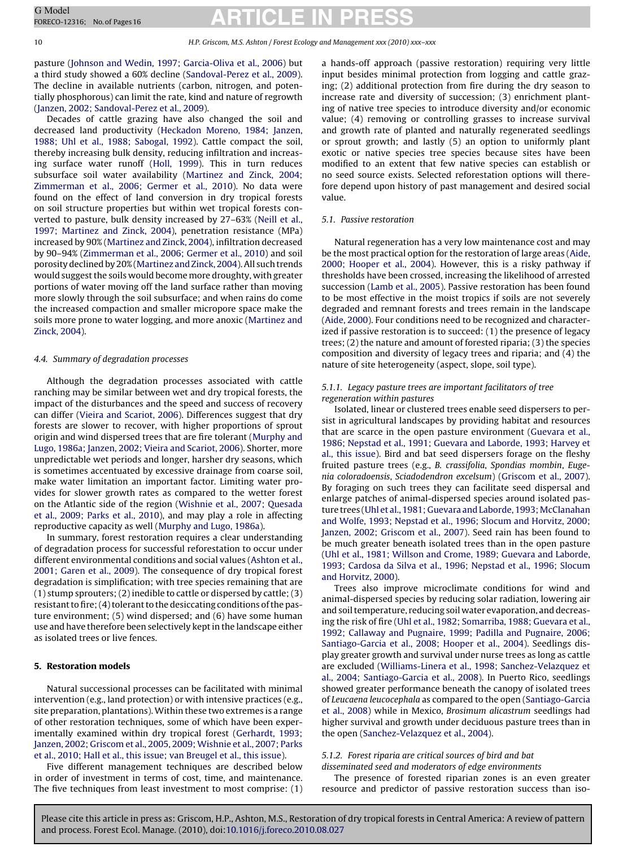pasture ([Johnson and Wedin, 1997; Garcia-Oliva et al., 2006\)](#page-13-0) but a third study showed a 60% decline [\(Sandoval-Perez et al., 2009\).](#page-14-0) The decline in available nutrients (carbon, nitrogen, and potentially phosphorous) can limit the rate, kind and nature of regrowth ([Janzen, 2002; Sandoval-Perez et al., 2009\).](#page-13-0)

Decades of cattle grazing have also changed the soil and decreased land productivity ([Heckadon Moreno, 1984; Janzen,](#page-13-0) [1988; Uhl et al., 1988; Sabogal, 1992\).](#page-13-0) Cattle compact the soil, thereby increasing bulk density, reducing infiltration and increasing surface water runoff [\(Holl, 1999\).](#page-13-0) This in turn reduces subsurface soil water availability [\(Martinez and Zinck, 2004;](#page-13-0) [Zimmerman et al., 2006; Germer et al., 2010\).](#page-13-0) No data were found on the effect of land conversion in dry tropical forests on soil structure properties but within wet tropical forests converted to pasture, bulk density increased by 27–63% ([Neill et al.,](#page-14-0) [1997; Martinez and Zinck, 2004\),](#page-14-0) penetration resistance (MPa) increased by 90% [\(Martinez and Zinck, 2004\),](#page-13-0) infiltration decreased by 90–94% [\(Zimmerman et al., 2006; Germer et al., 2010\)](#page-15-0) and soil porosity declined by 20% [\(Martinez and Zinck, 2004\).](#page-13-0) All such trends would suggest the soils would become more droughty, with greater portions of water moving off the land surface rather than moving more slowly through the soil subsurface; and when rains do come the increased compaction and smaller micropore space make the soils more prone to water logging, and more anoxic ([Martinez and](#page-13-0) [Zinck, 2004\).](#page-13-0)

#### 4.4. Summary of degradation processes

Although the degradation processes associated with cattle ranching may be similar between wet and dry tropical forests, the impact of the disturbances and the speed and success of recovery can differ ([Vieira and Scariot, 2006\).](#page-14-0) Differences suggest that dry forests are slower to recover, with higher proportions of sprout origin and wind dispersed trees that are fire tolerant ([Murphy and](#page-14-0) [Lugo, 1986a; Janzen, 2002; Vieira and Scariot, 2006\).](#page-14-0) Shorter, more unpredictable wet periods and longer, harsher dry seasons, which is sometimes accentuated by excessive drainage from coarse soil, make water limitation an important factor. Limiting water provides for slower growth rates as compared to the wetter forest on the Atlantic side of the region [\(Wishnie et al., 2007; Quesada](#page-15-0) [et al., 2009; Parks et al., 2010\),](#page-15-0) and may play a role in affecting reproductive capacity as well [\(Murphy and Lugo, 1986a\).](#page-14-0)

In summary, forest restoration requires a clear understanding of degradation process for successful reforestation to occur under different environmental conditions and social values ([Ashton et al.,](#page-12-0) [2001; Garen et al., 2009\).](#page-12-0) The consequence of dry tropical forest degradation is simplification; with tree species remaining that are (1) stump sprouters; (2) inedible to cattle or dispersed by cattle; (3) resistant to fire; (4) tolerant to the desiccating conditions of the pasture environment; (5) wind dispersed; and (6) have some human use and have therefore been selectively kept in the landscape either as isolated trees or live fences.

#### **5. Restoration models**

Natural successional processes can be facilitated with minimal intervention (e.g., land protection) or with intensive practices (e.g., site preparation, plantations). Within these two extremes is a range of other restoration techniques, some of which have been experimentally examined within dry tropical forest [\(Gerhardt, 1993;](#page-13-0) [Janzen, 2002; Griscom et al., 2005, 2009; Wishnie et al., 2007; Parks](#page-13-0) [et al., 2010; Hall et al., this issue; van Breugel et al., this issue\).](#page-13-0)

Five different management techniques are described below in order of investment in terms of cost, time, and maintenance. The five techniques from least investment to most comprise: (1) a hands-off approach (passive restoration) requiring very little input besides minimal protection from logging and cattle grazing; (2) additional protection from fire during the dry season to increase rate and diversity of succession; (3) enrichment planting of native tree species to introduce diversity and/or economic value; (4) removing or controlling grasses to increase survival and growth rate of planted and naturally regenerated seedlings or sprout growth; and lastly (5) an option to uniformly plant exotic or native species tree species because sites have been modified to an extent that few native species can establish or no seed source exists. Selected reforestation options will therefore depend upon history of past management and desired social value.

#### 5.1. Passive restoration

Natural regeneration has a very low maintenance cost and may be the most practical option for the restoration of large areas ([Aide,](#page-12-0) [2000; Hooper et al., 2004\).](#page-12-0) However, this is a risky pathway if thresholds have been crossed, increasing the likelihood of arrested succession [\(Lamb et al., 2005\).](#page-13-0) Passive restoration has been found to be most effective in the moist tropics if soils are not severely degraded and remnant forests and trees remain in the landscape [\(Aide, 2000\).](#page-12-0) Four conditions need to be recognized and characterized if passive restoration is to succeed: (1) the presence of legacy trees; (2) the nature and amount of forested riparia; (3) the species composition and diversity of legacy trees and riparia; and (4) the nature of site heterogeneity (aspect, slope, soil type).

#### 5.1.1. Legacy pasture trees are important facilitators of tree regeneration within pastures

Isolated, linear or clustered trees enable seed dispersers to persist in agricultural landscapes by providing habitat and resources that are scarce in the open pasture environment [\(Guevara et al.,](#page-13-0) [1986; Nepstad et al., 1991; Guevara and Laborde, 1993; Harvey et](#page-13-0) [al., this issue\).](#page-13-0) Bird and bat seed dispersers forage on the fleshy fruited pasture trees (e.g., B. crassifolia, Spondias mombin, Eugenia coloradoensis, Sciadodendron excelsum) ([Griscom et al., 2007\).](#page-13-0) By foraging on such trees they can facilitate seed dispersal and enlarge patches of animal-dispersed species around isolated pasture trees (Uhl et al., 1981; Guevara and Laborde, 1993; McClanahan [and Wolfe, 1993; Nepstad et al., 1996; Slocum and Horvitz, 2000;](#page-14-0) [Janzen, 2002; Griscom et al., 2007\).](#page-14-0) Seed rain has been found to be much greater beneath isolated trees than in the open pasture [\(Uhl et al., 1981; Willson and Crome, 1989; Guevara and Laborde,](#page-14-0) [1993; Cardosa da Silva et al., 1996; Nepstad et al., 1996; Slocum](#page-14-0) [and Horvitz, 2000\).](#page-14-0)

Trees also improve microclimate conditions for wind and animal-dispersed species by reducing solar radiation, lowering air and soil temperature, reducing soil water evaporation, and decreasing the risk of fire [\(Uhl et al., 1982; Somarriba, 1988; Guevara et al.,](#page-14-0) [1992; Callaway and Pugnaire, 1999; Padilla and Pugnaire, 2006;](#page-14-0) [Santiago-Garcia et al., 2008; Hooper et al., 2004\).](#page-14-0) Seedlings display greater growth and survival under nurse trees as long as cattle are excluded ([Williams-Linera et al., 1998; Sanchez-Velazquez et](#page-15-0) [al., 2004; Santiago-Garcia et al., 2008\).](#page-15-0) In Puerto Rico, seedlings showed greater performance beneath the canopy of isolated trees of Leucaena leucocephala as compared to the open ([Santiago-Garcia](#page-14-0) [et al., 2008\)](#page-14-0) while in Mexico, Brosimum alicastrum seedlings had higher survival and growth under deciduous pasture trees than in the open [\(Sanchez-Velazquez et al., 2004\).](#page-14-0)

### 5.1.2. Forest riparia are critical sources of bird and bat

disseminated seed and moderators of edge environments

The presence of forested riparian zones is an even greater resource and predictor of passive restoration success than iso-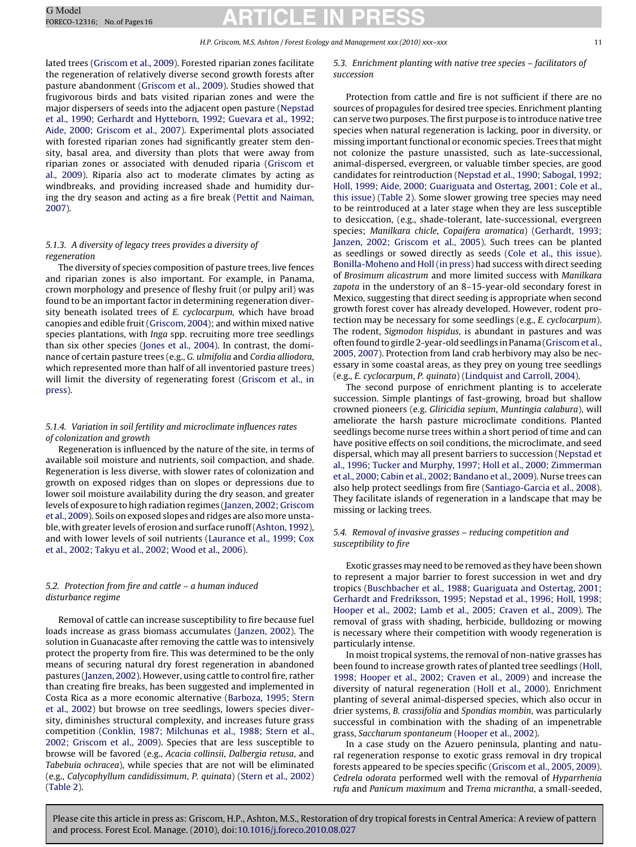#### H.P. Griscom, M.S. Ashton / Forest Ecology and Management xxx (2010) xxx–xxx 11

lated trees ([Griscom et al., 2009\).](#page-13-0) Forested riparian zones facilitate the regeneration of relatively diverse second growth forests after pasture abandonment ([Griscom et al., 2009\).](#page-13-0) Studies showed that frugivorous birds and bats visited riparian zones and were the major dispersers of seeds into the adjacent open pasture ([Nepstad](#page-14-0) [et al., 1990; Gerhardt and Hytteborn, 1992; Guevara et al., 1992;](#page-14-0) [Aide, 2000; Griscom et al., 2007\).](#page-14-0) Experimental plots associated with forested riparian zones had significantly greater stem density, basal area, and diversity than plots that were away from riparian zones or associated with denuded riparia ([Griscom et](#page-13-0) [al., 2009\).](#page-13-0) Riparia also act to moderate climates by acting as windbreaks, and providing increased shade and humidity during the dry season and acting as a fire break ([Pettit and Naiman,](#page-14-0) [2007\).](#page-14-0)

#### 5.1.3. A diversity of legacy trees provides a diversity of regeneration

The diversity of species composition of pasture trees, live fences and riparian zones is also important. For example, in Panama, crown morphology and presence of fleshy fruit (or pulpy aril) was found to be an important factor in determining regeneration diversity beneath isolated trees of E. cyclocarpum, which have broad canopies and edible fruit [\(Griscom, 2004\);](#page-13-0) and within mixed native species plantations, with Inga spp. recruiting more tree seedlings than six other species [\(Jones et al., 2004\).](#page-13-0) In contrast, the dominance of certain pasture trees (e.g., G. ulmifolia and Cordia alliodora, which represented more than half of all inventoried pasture trees) will limit the diversity of regenerating forest ([Griscom et al., in](#page-13-0) [press\).](#page-13-0)

#### 5.1.4. Variation in soil fertility and microclimate influences rates of colonization and growth

Regeneration is influenced by the nature of the site, in terms of available soil moisture and nutrients, soil compaction, and shade. Regeneration is less diverse, with slower rates of colonization and growth on exposed ridges than on slopes or depressions due to lower soil moisture availability during the dry season, and greater levels of exposure to high radiation regimes [\(Janzen, 2002; Griscom](#page-13-0) [et al., 2009\).](#page-13-0) Soils on exposed slopes and ridges are also more unstable, with greater levels of erosion and surface runoff ([Ashton, 1992\),](#page-12-0) and with lower levels of soil nutrients [\(Laurance et al., 1999; Cox](#page-13-0) [et al., 2002; Takyu et al., 2002; Wood et al., 2006\).](#page-13-0)

#### 5.2. Protection from fire and cattle – a human induced disturbance regime

Removal of cattle can increase susceptibility to fire because fuel loads increase as grass biomass accumulates ([Janzen, 2002\).](#page-13-0) The solution in Guanacaste after removing the cattle was to intensively protect the property from fire. This was determined to be the only means of securing natural dry forest regeneration in abandoned pastures ([Janzen, 2002\).](#page-13-0) However, using cattle to control fire, rather than creating fire breaks, has been suggested and implemented in Costa Rica as a more economic alternative ([Barboza, 1995; Stern](#page-12-0) [et al., 2002\)](#page-12-0) but browse on tree seedlings, lowers species diversity, diminishes structural complexity, and increases future grass competition ([Conklin, 1987; Milchunas et al., 1988; Stern et al.,](#page-12-0) [2002; Griscom et al., 2009\).](#page-12-0) Species that are less susceptible to browse will be favored (e.g., Acacia collinsii, Dalbergia retusa, and Tabebuia ochracea), while species that are not will be eliminated (e.g., Calycophyllum candidissimum, P. quinata) ([Stern et al., 2002\)](#page-14-0) ([Table 2\).](#page-5-0)

#### 5.3. Enrichment planting with native tree species – facilitators of succession

Protection from cattle and fire is not sufficient if there are no sources of propagules for desired tree species. Enrichment planting can serve two purposes. The first purpose is to introduce native tree species when natural regeneration is lacking, poor in diversity, or missing important functional or economic species. Trees that might not colonize the pasture unassisted, such as late-successional, animal-dispersed, evergreen, or valuable timber species, are good candidates for reintroduction ([Nepstad et al., 1990; Sabogal, 1992;](#page-14-0) [Holl, 1999; Aide, 2000; Guariguata and Ostertag, 2001; Cole et al.,](#page-14-0) [this issue\)](#page-14-0) ([Table 2\).](#page-5-0) Some slower growing tree species may need to be reintroduced at a later stage when they are less susceptible to desiccation, (e.g., shade-tolerant, late-successional, evergreen species; Manilkara chicle, Copaifera aromatica) [\(Gerhardt, 1993;](#page-13-0) [Janzen, 2002; Griscom et al., 2005\).](#page-13-0) Such trees can be planted as seedlings or sowed directly as seeds ([Cole et al., this issue\).](#page-12-0) [Bonilla-Moheno and Holl \(in press\)](#page-12-0) had success with direct seeding of Brosimum alicastrum and more limited success with Manilkara zapota in the understory of an 8–15-year-old secondary forest in Mexico, suggesting that direct seeding is appropriate when second growth forest cover has already developed. However, rodent protection may be necessary for some seedlings (e.g., E. cyclocarpum). The rodent, Sigmodon hispidus, is abundant in pastures and was often found to girdle 2-year-old seedlings in Panama [\(Griscom et al.,](#page-13-0) [2005, 2007\).](#page-13-0) Protection from land crab herbivory may also be necessary in some coastal areas, as they prey on young tree seedlings (e.g., E. cyclocarpum, P. quinata) ([Lindquist and Carroll, 2004\).](#page-13-0)

The second purpose of enrichment planting is to accelerate succession. Simple plantings of fast-growing, broad but shallow crowned pioneers (e.g. Gliricidia sepium, Muntingia calabura), will ameliorate the harsh pasture microclimate conditions. Planted seedlings become nurse trees within a short period of time and can have positive effects on soil conditions, the microclimate, and seed dispersal, which may all present barriers to succession [\(Nepstad et](#page-14-0) [al., 1996; Tucker and Murphy, 1997; Holl et al., 2000; Zimmerman](#page-14-0) [et al., 2000; Cabin et al., 2002; Bandano et al., 2009\).](#page-14-0) Nurse trees can also help protect seedlings from fire ([Santiago-Garcia et al., 2008\).](#page-14-0) They facilitate islands of regeneration in a landscape that may be missing or lacking trees.

#### 5.4. Removal of invasive grasses – reducing competition and susceptibility to fire

Exotic grasses may need to be removed as they have been shown to represent a major barrier to forest succession in wet and dry tropics [\(Buschbacher et al., 1988; Guariguata and Ostertag, 2001;](#page-12-0) [Gerhardt and Fredriksson, 1995; Nepstad et al., 1996; Holl, 1998;](#page-12-0) [Hooper et al., 2002; Lamb et al., 2005; Craven et al., 2009\).](#page-12-0) The removal of grass with shading, herbicide, bulldozing or mowing is necessary where their competition with woody regeneration is particularly intense.

In moist tropical systems, the removal of non-native grasses has been found to increase growth rates of planted tree seedlings ([Holl,](#page-13-0) [1998; Hooper et al., 2002; Craven et al., 2009\)](#page-13-0) and increase the diversity of natural regeneration ([Holl et al., 2000\).](#page-13-0) Enrichment planting of several animal-dispersed species, which also occur in drier systems, B. crassifolia and Spondias mombin, was particularly successful in combination with the shading of an impenetrable grass, Saccharum spontaneum ([Hooper et al., 2002\).](#page-13-0)

In a case study on the Azuero peninsula, planting and natural regeneration response to exotic grass removal in dry tropical forests appeared to be species specific [\(Griscom et al., 2005, 2009\).](#page-13-0) Cedrela odorata performed well with the removal of Hyparrhenia rufa and Panicum maximum and Trema micrantha, a small-seeded,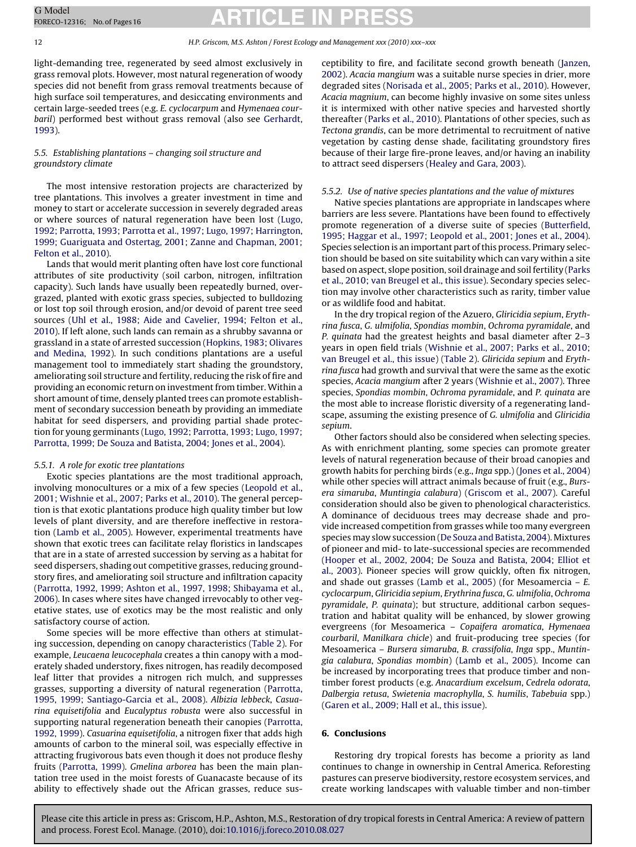#### 12 H.P. Griscom, M.S. Ashton / Forest Ecology and Management xxx (2010) xxx–xxx

light-demanding tree, regenerated by seed almost exclusively in grass removal plots. However, most natural regeneration of woody species did not benefit from grass removal treatments because of high surface soil temperatures, and desiccating environments and certain large-seeded trees (e.g. E. cyclocarpum and Hymenaea courbaril) performed best without grass removal (also see [Gerhardt,](#page-13-0) [1993\).](#page-13-0)

#### 5.5. Establishing plantations – changing soil structure and groundstory climate

The most intensive restoration projects are characterized by tree plantations. This involves a greater investment in time and money to start or accelerate succession in severely degraded areas or where sources of natural regeneration have been lost [\(Lugo,](#page-13-0) [1992; Parrotta, 1993; Parrotta et al., 1997; Lugo, 1997; Harrington,](#page-13-0) [1999; Guariguata and Ostertag, 2001; Zanne and Chapman, 2001;](#page-13-0) [Felton et al., 2010\).](#page-13-0)

Lands that would merit planting often have lost core functional attributes of site productivity (soil carbon, nitrogen, infiltration capacity). Such lands have usually been repeatedly burned, overgrazed, planted with exotic grass species, subjected to bulldozing or lost top soil through erosion, and/or devoid of parent tree seed sources [\(Uhl et al., 1988; Aide and Cavelier, 1994; Felton et al.,](#page-14-0) [2010\).](#page-14-0) If left alone, such lands can remain as a shrubby savanna or grassland in a state of arrested succession [\(Hopkins, 1983; Olivares](#page-13-0) [and Medina, 1992\).](#page-13-0) In such conditions plantations are a useful management tool to immediately start shading the groundstory, ameliorating soil structure and fertility, reducing the risk of fire and providing an economic return on investment from timber. Within a short amount of time, densely planted trees can promote establishment of secondary succession beneath by providing an immediate habitat for seed dispersers, and providing partial shade protection for young germinants [\(Lugo, 1992; Parrotta, 1993; Lugo, 1997;](#page-13-0) [Parrotta, 1999; De Souza and Batista, 2004; Jones et al., 2004\).](#page-13-0)

#### 5.5.1. A role for exotic tree plantations

Exotic species plantations are the most traditional approach, involving monocultures or a mix of a few species ([Leopold et al.,](#page-13-0) [2001; Wishnie et al., 2007; Parks et al., 2010\).](#page-13-0) The general perception is that exotic plantations produce high quality timber but low levels of plant diversity, and are therefore ineffective in restoration [\(Lamb et al., 2005\).](#page-13-0) However, experimental treatments have shown that exotic trees can facilitate relay floristics in landscapes that are in a state of arrested succession by serving as a habitat for seed dispersers, shading out competitive grasses, reducing groundstory fires, and ameliorating soil structure and infiltration capacity ([Parrotta, 1992, 1999; Ashton et al., 1997, 1998; Shibayama et al.,](#page-14-0) [2006\).](#page-14-0) In cases where sites have changed irrevocably to other vegetative states, use of exotics may be the most realistic and only satisfactory course of action.

Some species will be more effective than others at stimulating succession, depending on canopy characteristics [\(Table 2\).](#page-5-0) For example, Leucaena leucocephala creates a thin canopy with a moderately shaded understory, fixes nitrogen, has readily decomposed leaf litter that provides a nitrogen rich mulch, and suppresses grasses, supporting a diversity of natural regeneration ([Parrotta,](#page-14-0) [1995, 1999; Santiago-Garcia et al., 2008\).](#page-14-0) Albizia lebbeck, Casuarina equisetifolia and Eucalyptus robusta were also successful in supporting natural regeneration beneath their canopies ([Parrotta,](#page-14-0) [1992, 1999\).](#page-14-0) Casuarina equisetifolia, a nitrogen fixer that adds high amounts of carbon to the mineral soil, was especially effective in attracting frugivorous bats even though it does not produce fleshy fruits ([Parrotta, 1999\).](#page-14-0) Gmelina arborea has been the main plantation tree used in the moist forests of Guanacaste because of its ability to effectively shade out the African grasses, reduce susceptibility to fire, and facilitate second growth beneath ([Janzen,](#page-13-0) [2002\).](#page-13-0) Acacia mangium was a suitable nurse species in drier, more degraded sites ([Norisada et al., 2005; Parks et al., 2010\).](#page-14-0) However, Acacia magnium, can become highly invasive on some sites unless it is intermixed with other native species and harvested shortly thereafter ([Parks et al., 2010\).](#page-14-0) Plantations of other species, such as Tectona grandis, can be more detrimental to recruitment of native vegetation by casting dense shade, facilitating groundstory fires because of their large fire-prone leaves, and/or having an inability to attract seed dispersers [\(Healey and Gara, 2003\).](#page-13-0)

#### 5.5.2. Use of native species plantations and the value of mixtures

Native species plantations are appropriate in landscapes where barriers are less severe. Plantations have been found to effectively promote regeneration of a diverse suite of species [\(Butterfield,](#page-12-0) [1995; Haggar et al., 1997; Leopold et al., 2001; Jones et al., 2004\).](#page-12-0) Species selection is an important part of this process. Primary selection should be based on site suitability which can vary within a site based on aspect, slope position, soil drainage and soil fertility [\(Parks](#page-14-0) [et al., 2010; van Breugel et al., this issue\).](#page-14-0) Secondary species selection may involve other characteristics such as rarity, timber value or as wildlife food and habitat.

In the dry tropical region of the Azuero, Gliricidia sepium, Erythrina fusca, G. ulmifolia, Spondias mombin, Ochroma pyramidale, and P. quinata had the greatest heights and basal diameter after 2–3 years in open field trials [\(Wishnie et al., 2007; Parks et al., 2010;](#page-15-0) [van Breugel et al., this issue\)](#page-15-0) [\(Table 2\).](#page-5-0) Gliricida sepium and Erythrina fusca had growth and survival that were the same as the exotic species, Acacia mangium after 2 years ([Wishnie et al., 2007\).](#page-15-0) Three species, Spondias mombin, Ochroma pyramidale, and P. quinata are the most able to increase floristic diversity of a regenerating landscape, assuming the existing presence of G. ulmifolia and Gliricidia sepium.

Other factors should also be considered when selecting species. As with enrichment planting, some species can promote greater levels of natural regeneration because of their broad canopies and growth habits for perching birds (e.g., Inga spp.) ([Jones et al., 2004\)](#page-13-0) while other species will attract animals because of fruit (e.g., Bursera simaruba, Muntingia calabura) ([Griscom et al., 2007\).](#page-13-0) Careful consideration should also be given to phenological characteristics. A dominance of deciduous trees may decrease shade and provide increased competition from grasses while too many evergreen species may slow succession ([De Souza and Batista, 2004\).](#page-12-0) Mixtures of pioneer and mid- to late-successional species are recommended [\(Hooper et al., 2002, 2004; De Souza and Batista, 2004; Elliot et](#page-13-0) [al., 2003\).](#page-13-0) Pioneer species will grow quickly, often fix nitrogen, and shade out grasses ([Lamb et al., 2005\)](#page-13-0) (for Mesoamercia  $- E$ . cyclocarpum, Gliricidia sepium, Erythrina fusca, G. ulmifolia, Ochroma pyramidale, P. quinata); but structure, additional carbon sequestration and habitat quality will be enhanced, by slower growing evergreens (for Mesoamerica – Copaifera aromatica, Hymenaea courbaril, Manilkara chicle) and fruit-producing tree species (for Mesoamerica – Bursera simaruba, B. crassifolia, Inga spp., Muntingia calabura, Spondias mombin) ([Lamb et al., 2005\).](#page-13-0) Income can be increased by incorporating trees that produce timber and nontimber forest products (e.g. Anacardium excelsum, Cedrela odorata, Dalbergia retusa, Swietenia macrophylla, S. humilis, Tabebuia spp.) [\(Garen et al., 2009; Hall et al., this issue\).](#page-13-0)

#### **6. Conclusions**

Restoring dry tropical forests has become a priority as land continues to change in ownership in Central America. Reforesting pastures can preserve biodiversity, restore ecosystem services, and create working landscapes with valuable timber and non-timber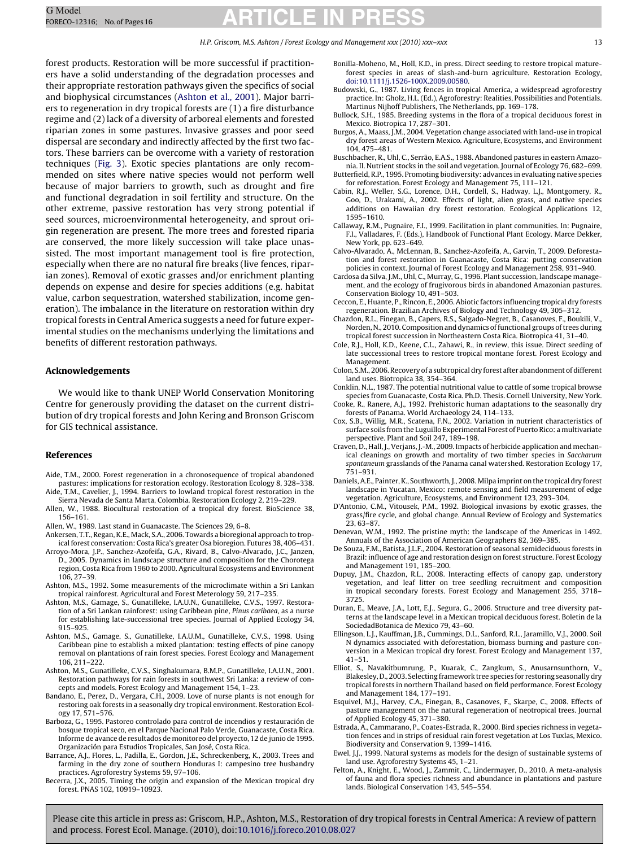#### H.P. Griscom, M.S. Ashton / Forest Ecology and Management xxx (2010) xxx–xxx 13

<span id="page-12-0"></span>forest products. Restoration will be more successful if practitioners have a solid understanding of the degradation processes and their appropriate restoration pathways given the specifics of social and biophysical circumstances (Ashton et al., 2001). Major barriers to regeneration in dry tropical forests are (1) a fire disturbance regime and (2) lack of a diversity of arboreal elements and forested riparian zones in some pastures. Invasive grasses and poor seed dispersal are secondary and indirectly affected by the first two factors. These barriers can be overcome with a variety of restoration techniques ([Fig. 3\).](#page-8-0) Exotic species plantations are only recommended on sites where native species would not perform well because of major barriers to growth, such as drought and fire and functional degradation in soil fertility and structure. On the other extreme, passive restoration has very strong potential if seed sources, microenvironmental heterogeneity, and sprout origin regeneration are present. The more trees and forested riparia are conserved, the more likely succession will take place unassisted. The most important management tool is fire protection, especially when there are no natural fire breaks (live fences, riparian zones). Removal of exotic grasses and/or enrichment planting depends on expense and desire for species additions (e.g. habitat value, carbon sequestration, watershed stabilization, income generation). The imbalance in the literature on restoration within dry tropical forests in Central America suggests a need for future experimental studies on the mechanisms underlying the limitations and benefits of different restoration pathways.

#### **Acknowledgements**

We would like to thank UNEP World Conservation Monitoring Centre for generously providing the dataset on the current distribution of dry tropical forests and John Kering and Bronson Griscom for GIS technical assistance.

#### **References**

- Aide, T.M., 2000. Forest regeneration in a chronosequence of tropical abandoned pastures: implications for restoration ecology. Restoration Ecology 8, 328–338. Aide, T.M., Cavelier, J., 1994. Barriers to lowland tropical forest restoration in the
- Sierra Nevada de Santa Marta, Colombia. Restoration Ecology 2, 219–229. Allen, W., 1988. Biocultural restoration of a tropical dry forest. BioScience 38,
- 156–161. Allen, W., 1989. Last stand in Guanacaste. The Sciences 29, 6–8.
- Ankersen, T.T., Regan, K.E., Mack, S.A., 2006. Towards a bioregional approach to trop-
- ical forest conservation: Costa Rica's greater Osa bioregion. Futures 38, 406–431. Arroyo-Mora, J.P., Sanchez-Azofeifa, G.A., Rivard, B., Calvo-Alvarado, J.C., Janzen, D., 2005. Dynamics in landscape structure and composition for the Chorotega region, Costa Rica from 1960 to 2000. Agricultural Ecosystems and Environment 106, 27–39.
- Ashton, M.S., 1992. Some measurements of the microclimate within a Sri Lankan tropical rainforest. Agricultural and Forest Meterology 59, 217–235.
- Ashton, M.S., Gamage, S., Gunatilleke, I.A.U.N., Gunatilleke, C.V.S., 1997. Restoration of a Sri Lankan rainforest: using Caribbean pine, Pinus caribaea, as a nurse for establishing late-successional tree species. Journal of Applied Ecology 34, 915–925.
- Ashton, M.S., Gamage, S., Gunatilleke, I.A.U.M., Gunatilleke, C.V.S., 1998. Using Caribbean pine to establish a mixed plantation: testing effects of pine canopy removal on plantations of rain forest species. Forest Ecology and Management 106, 211–222.
- Ashton, M.S., Gunatilleke, C.V.S., Singhakumara, B.M.P., Gunatilleke, I.A.U.N., 2001. Restoration pathways for rain forests in southwest Sri Lanka: a review of concepts and models. Forest Ecology and Management 154, 1–23.
- Bandano, E., Perez, D., Vergara, C.H., 2009. Love of nurse plants is not enough for restoring oak forests in a seasonally dry tropical environment. Restoration Ecology 17, 571–576.
- Barboza, G., 1995. Pastoreo controlado para control de incendios y restauración de bosque tropical seco, en el Parque Nacional Palo Verde, Guanacaste, Costa Rica. Informe de avance de resultados de monitoreo del proyecto, 12 de junio de 1995. Organización para Estudios Tropicales, San José, Costa Rica.
- Barrance, A.J., Flores, L., Padilla, E., Gordon, J.E., Schreckenberg, K., 2003. Trees and farming in the dry zone of southern Honduras I: campesino tree husbandry practices. Agroforestry Systems 59, 97–106.
- Becerra, J.X., 2005. Timing the origin and expansion of the Mexican tropical dry forest. PNAS 102, 10919–10923.
- Bonilla-Moheno, M., Holl, K.D., in press. Direct seeding to restore tropical matureforest species in areas of slash-and-burn agriculture. Restoration Ecology, [doi:10.1111/j.1526-100X.2009.00580](http://dx.doi.org/10.1111/j.1526-100X.2009.00580).
- Budowski, G., 1987. Living fences in tropical America, a widespread agroforestry practice. In: Gholz, H.L. (Ed.), Agroforestry: Realities, Possibilities and Potentials. Martinus Nijhoff Publishers, The Netherlands, pp. 169–178.
- Bullock, S.H., 1985. Breeding systems in the flora of a tropical deciduous forest in Mexico. Biotropica 17, 287–301.
- Burgos, A., Maass, J.M., 2004. Vegetation change associated with land-use in tropical dry forest areas of Western Mexico. Agriculture, Ecosystems, and Environment 104, 475–481.
- Buschbacher, R., Uhl, C., Serrão, E.A.S., 1988. Abandoned pastures in eastern Amazonia. II. Nutrient stocks in the soil and vegetation. Journal of Ecology 76, 682–699. Butterfield, R.P., 1995. Promoting biodiversity: advances in evaluating native species
- for reforestation. Forest Ecology and Management 75, 111–121. Cabin, R.J., Weller, S.G., Lorence, D.H., Cordell, S., Hadway, L.J., Montgomery, R., Goo, D., Urakami, A., 2002. Effects of light, alien grass, and native species additions on Hawaiian dry forest restoration. Ecological Applications 12, 1595–1610.
- Callaway, R.M., Pugnaire, F.I., 1999. Facilitation in plant communities. In: Pugnaire, F.I., Valladares, F. (Eds.), Handbook of Functional Plant Ecology. Marce Dekker, New York, pp. 623–649.
- Calvo-Alvarado, A., McLennan, B., Sanchez-Azofeifa, A., Garvin, T., 2009. Deforestation and forest restoration in Guanacaste, Costa Rica: putting conservation policies in context. Journal of Forest Ecology and Management 258, 931–940.
- Cardosa da Silva, J.M., Uhl, C., Murray, G., 1996. Plant succession, landscape management, and the ecology of frugivorous birds in abandoned Amazonian pastures. Conservation Biology 10, 491–503.
- Ceccon, E., Huante, P., Rincon, E., 2006. Abiotic factors influencing tropical dry forests regeneration. Brazilian Archives of Biology and Technology 49, 305–312.
- Chazdon, R.L., Finegan, B., Capers, R.S., Salgado-Negret, B., Casanoves, F., Boukili, V., Norden, N., 2010. Composition and dynamics of functional groups of trees during tropical forest succession in Northeastern Costa Rica. Biotropica 41, 31–40.
- Cole, R.J., Holl, K.D., Keene, C.L., Zahawi, R., in review, this issue. Direct seeding of late successional trees to restore tropical montane forest. Forest Ecology and Management.
- Colon, S.M., 2006. Recovery of a subtropical dry forest after abandonment of different land uses. Biotropica 38, 354–364.
- Conklin, N.L., 1987. The potential nutritional value to cattle of some tropical browse species from Guanacaste, Costa Rica. Ph.D. Thesis. Cornell University, New York.
- Cooke, R., Ranere, A.J., 1992. Prehistoric human adaptations to the seasonally dry forests of Panama. World Archaeology 24, 114–133.
- Cox, S.B., Willig, M.R., Scatena, F.N., 2002. Variation in nutrient characteristics of surface soils from the Luguillo Experimental Forest of Puerto Rico: a multivariate perspective. Plant and Soil 247, 189–198.
- Craven, D., Hall, J., Verjans, J.-M., 2009. Impacts of herbicide application and mechanical cleanings on growth and mortality of two timber species in Saccharum spontaneum grasslands of the Panama canal watershed. Restoration Ecology 17, 751–931.
- Daniels, A.E., Painter, K., Southworth, J., 2008. Milpa imprint on the tropical dry forest landscape in Yucatan, Mexico: remote sensing and field measurement of edge vegetation. Agriculture, Ecosystems, and Environment 123, 293–304.
- D'Antonio, C.M., Vitousek, P.M., 1992. Biological invasions by exotic grasses, the grass/fire cycle, and global change. Annual Review of Ecology and Systematics 23, 63–87.
- Denevan, W.M., 1992. The pristine myth: the landscape of the Americas in 1492. Annuals of the Association of American Geographers 82, 369–385.
- De Souza, F.M., Batista, J.L.F., 2004. Restoration of seasonal semideciduous forests in Brazil: influence of age and restoration design on forest structure. Forest Ecology and Management 191, 185–200.
- Dupuy, J.M., Chazdon, R.L., 2008. Interacting effects of canopy gap, understory vegetation, and leaf litter on tree seedling recruitment and composition in tropical secondary forests. Forest Ecology and Management 255, 3718– 3725.
- Duran, E., Meave, J.A., Lott, E.J., Segura, G., 2006. Structure and tree diversity patterns at the landscape level in a Mexican tropical deciduous forest. Boletin de la SociedadBotanica de Mexico 79, 43–60.
- Ellingson, L.J., Kauffman, J.B., Cummings, D.L., Sanford, R.L., Jaramillo, V.J., 2000. Soil N dynamics associated with deforestation, biomass burning and pasture conversion in a Mexican tropical dry forest. Forest Ecology and Management 137, 41–51.
- Elliot, S., Navakitbumrung, P., Kuarak, C., Zangkum, S., Anusarnsunthorn, V., Blakesley, D., 2003. Selecting framework tree species for restoring seasonally dry tropical forests in northern Thailand based on field performance. Forest Ecology and Management 184, 177–191.
- Esquivel, M.J., Harvey, C.A., Finegan, B., Casanoves, F., Skarpe, C., 2008. Effects of pasture management on the natural regeneration of neotropical trees. Journal of Applied Ecology 45, 371–380.
- Estrada, A., Cammarano, P., Coates-Estrada, R., 2000. Bird species richness in vegetation fences and in strips of residual rain forest vegetation at Los Tuxlas, Mexico. Biodiversity and Conservation 9, 1399–1416.
- Ewel, J.J., 1999. Natural systems as models for the design of sustainable systems of land use. Agroforestry Systems 45, 1–21.
- Felton, A., Knight, E., Wood, J., Zammit, C., Lindermayer, D., 2010. A meta-analysis of fauna and flora species richness and abundance in plantations and pasture lands. Biological Conservation 143, 545–554.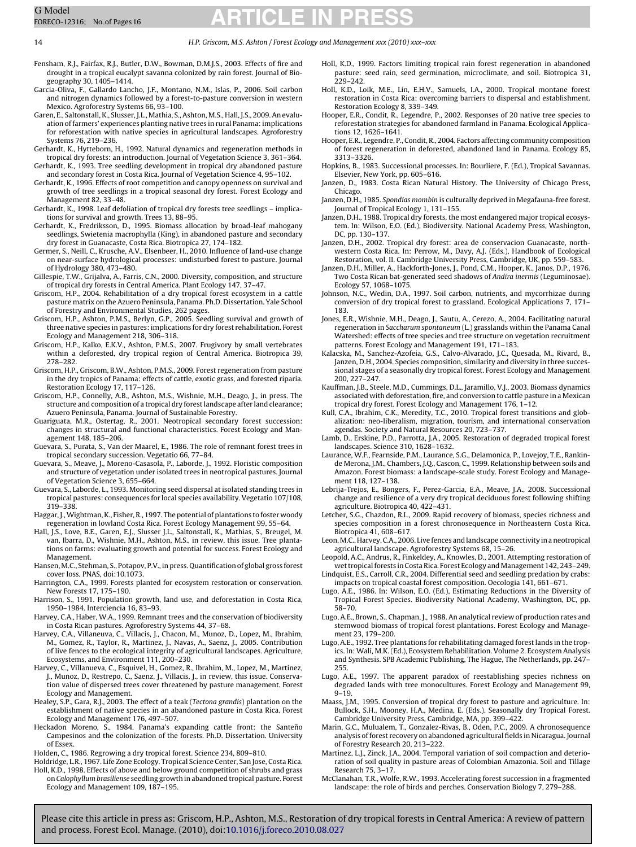<span id="page-13-0"></span>14 H.P. Griscom, M.S. Ashton / Forest Ecology and Management xxx (2010) xxx–xxx

- Fensham, R.J., Fairfax, R.J., Butler, D.W., Bowman, D.M.J.S., 2003. Effects of fire and drought in a tropical eucalypt savanna colonized by rain forest. Journal of Biogeography 30, 1405–1414.
- Garcia-Oliva, F., Gallardo Lancho, J.F., Montano, N.M., Islas, P., 2006. Soil carbon and nitrogen dynamics followed by a forest-to-pasture conversion in western Mexico. Agroforestry Systems 66, 93–100.
- Garen, E., Saltonstall, K., Slusser, J.L., Mathia, S., Ashton, M.S., Hall, J.S., 2009. An evaluation of farmers' experiences planting native trees in rural Panama: implications for reforestation with native species in agricultural landscapes. Agroforestry Systems 76, 219–236.
- Gerhardt, K., Hytteborn, H., 1992. Natural dynamics and regeneration methods in tropical dry forests: an introduction. Journal of Vegetation Science 3, 361–364.
- Gerhardt, K., 1993. Tree seedling development in tropical dry abandoned pasture and secondary forest in Costa Rica. Journal of Vegetation Science 4, 95–102.
- Gerhardt, K., 1996. Effects of root competition and canopy openness on survival and growth of tree seedlings in a tropical seasonal dry forest. Forest Ecology and Management 82, 33–48.
- Gerhardt, K., 1998. Leaf defoliation of tropical dry forests tree seedlings implications for survival and growth. Trees 13, 88–95.
- Gerhardt, K., Fredriksson, D., 1995. Biomass allocation by broad-leaf mahogany seedlings, Swietenia macrophylla (King), in abandoned pasture and secondary dry forest in Guanacaste, Costa Rica. Biotropica 27, 174–182.
- Germer, S., Neill, C., Krusche, A.V., Elsenbeer, H., 2010. Influence of land-use change on near-surface hydrological processes: undisturbed forest to pasture. Journal of Hydrology 380, 473–480.
- Gillespie, T.W., Grijalva, A., Farris, C.N., 2000. Diversity, composition, and structure of tropical dry forests in Central America. Plant Ecology 147, 37–47.
- Griscom, H.P., 2004. Rehabilitation of a dry tropical forest ecosystem in a cattle pasture matrix on the Azuero Peninsula, Panama. Ph.D. Dissertation. Yale School of Forestry and Environmental Studies, 262 pages.
- Griscom, H.P., Ashton, P.M.S., Berlyn, G.P., 2005. Seedling survival and growth of three native species in pastures: implications for dry forest rehabilitation. Forest Ecology and Management 218, 306–318.
- Griscom, H.P., Kalko, E.K.V., Ashton, P.M.S., 2007. Frugivory by small vertebrates within a deforested, dry tropical region of Central America. Biotropica 39, 278–282.
- Griscom, H.P., Griscom, B.W., Ashton, P.M.S., 2009. Forest regeneration from pasture in the dry tropics of Panama: effects of cattle, exotic grass, and forested riparia. Restoration Ecology 17, 117–126.
- Griscom, H.P., Connelly, A.B., Ashton, M.S., Wishnie, M.H., Deago, J., in press. The structure and composition of a tropical dry forest landscape after land clearance; Azuero Peninsula, Panama. Journal of Sustainable Forestry.
- Guariguata, M.R., Ostertag, R., 2001. Neotropical secondary forest succession: changes in structural and functional characteristics. Forest Ecology and Management 148, 185–206.
- Guevara, S., Purata, S., Van der Maarel, E., 1986. The role of remnant forest trees in tropical secondary succession. Vegetatio 66, 77–84.
- Guevara, S., Meave, J., Moreno-Casasola, P., Laborde, J., 1992. Floristic composition and structure of vegetation under isolated trees in neotropical pastures. Journal of Vegetation Science 3, 655–664.
- Guevara, S., Laborde, L., 1993. Monitoring seed dispersal at isolated standing trees in tropical pastures: consequences for local species availability. Vegetatio 107/108, 319–338.
- Haggar, J.,Wightman, K., Fisher, R., 1997. The potential of plantations to foster woody regeneration in lowland Costa Rica. Forest Ecology Management 99, 55–64.
- Hall, J.S., Love, B.E., Garen, E.J., Slusser J.L., Saltonstall, K., Mathias, S., Breugel, M. van, Ibarra, D., Wishnie, M.H., Ashton, M.S., in review, this issue. Tree plantations on farms: evaluating growth and potential for success. Forest Ecology and Management.
- Hansen, M.C., Stehman, S., Potapov, P.V., in press. Quantification of global gross forest cover loss. PNAS, doi:10.1073.
- Harrington, C.A., 1999. Forests planted for ecosystem restoration or conservation. New Forests 17, 175–190.
- Harrison, S., 1991. Population growth, land use, and deforestation in Costa Rica, 1950–1984. Interciencia 16, 83–93.
- Harvey, C.A., Haber, W.A., 1999. Remnant trees and the conservation of biodiversity in Costa Rican pastures. Agroforestry Systems 44, 37–68.
- Harvey, C.A., Villaneuva, C., Villacis, J., Chacon, M., Munoz, D., Lopez, M., Ibrahim, M., Gomez, R., Taylor, R., Martinez, J., Navas, A., Saenz, J., 2005. Contribution of live fences to the ecological integrity of agricultural landscapes. Agriculture, Ecosystems, and Environment 111, 200–230.
- Harvey, C., Villanueva, C., Esquivel, H., Gomez, R., Ibrahim, M., Lopez, M., Martinez, J., Munoz, D., Restrepo, C., Saenz, J., Villacis, J., in review, this issue. Conservation value of dispersed trees cover threatened by pasture management. Forest Ecology and Management.
- Healey, S.P., Gara, R.J., 2003. The effect of a teak (Tectona grandis) plantation on the establishment of native species in an abandoned pasture in Costa Rica. Forest Ecology and Management 176, 497–507.
- Heckadon Moreno, S., 1984. Panama's expanding cattle front: the Santeño Campesinos and the colonization of the forests. Ph.D. Dissertation. University of Essex.
- Holden, C., 1986. Regrowing a dry tropical forest. Science 234, 809–810.
- Holdridge, L.R., 1967. Life Zone Ecology. Tropical Science Center, San Jose, Costa Rica.
- Holl, K.D., 1998. Effects of above and below ground competition of shrubs and grass on Calophyllum brasiliense seedling growth in abandoned tropical pasture. Forest Ecology and Management 109, 187–195.
- Holl, K.D., 1999. Factors limiting tropical rain forest regeneration in abandoned pasture: seed rain, seed germination, microclimate, and soil. Biotropica 31, 229–242.
- Holl, K.D., Loik, M.E., Lin, E.H.V., Samuels, I.A., 2000. Tropical montane forest restoration in Costa Rica: overcoming barriers to dispersal and establishment. Restoration Ecology 8, 339–349.
- Hooper, E.R., Condit, R., Legendre, P., 2002. Responses of 20 native tree species to reforestation strategies for abandoned farmland in Panama. Ecological Applications 12, 1626–1641.
- Hooper, E.R., Legendre, P., Condit, R., 2004. Factors affecting community composition of forest regeneration in deforested, abandoned land in Panama. Ecology 85, 3313–3326.
- Hopkins, B., 1983. Successional processes. In: Bourliere, F. (Ed.), Tropical Savannas. Elsevier, New York, pp. 605–616.
- Janzen, D., 1983. Costa Rican Natural History. The University of Chicago Press, Chicago.
- Janzen, D.H., 1985. Spondias mombin is culturally deprived in Megafauna-free forest. Journal of Tropical Ecology 1, 131–155.
- Janzen, D.H., 1988. Tropical dry forests, the most endangered major tropical ecosystem. In: Wilson, E.O. (Ed.), Biodiversity. National Academy Press, Washington, DC, pp. 130–137.
- Janzen, D.H., 2002. Tropical dry forest: area de conservacion Guanacaste, northwestern Costa Rica. In: Perrow, M., Davy, A.J. (Eds.), Handbook of Ecological Restoration, vol. II. Cambridge University Press, Cambridge, UK, pp. 559–583.
- Janzen, D.H., Miller, A., Hackforth-Jones, J., Pond, C.M., Hooper, K., Janos, D.P., 1976. Two Costa Rican bat-generated seed shadows of Andira inermis (Leguminosae). Ecology 57, 1068–1075.
- Johnson, N.C., Wedin, D.A., 1997. Soil carbon, nutrients, and mycorrhizae during conversion of dry tropical forest to grassland. Ecological Applications 7, 171– 183.
- Jones, E.R., Wishnie, M.H., Deago, J., Sautu, A., Cerezo, A., 2004. Facilitating natural regeneration in Saccharum spontaneum (L.) grasslands within the Panama Canal Watershed: effects of tree species and tree structure on vegetation recruitment patterns. Forest Ecology and Management 191, 171–183.
- Kalacska, M., Sanchez-Azofeia, G.S., Calvo-Alvarado, J.C., Quesada, M., Rivard, B., Janzen, D.H., 2004. Species composition, similarity and diversity in three successional stages of a seasonally dry tropical forest. Forest Ecology and Management 200, 227–247.
- Kauffman, J.B., Steele, M.D., Cummings, D.L., Jaramillo, V.J., 2003. Biomass dynamics associated with deforestation, fire, and conversion to cattle pasture in a Mexican tropical dry forest. Forest Ecology and Management 176, 1–12.
- Kull, C.A., Ibrahim, C.K., Meredity, T.C., 2010. Tropical forest transitions and globalization: neo-liberalism, migration, tourism, and international conservation agendas. Society and Natural Resources 20, 723–737.
- Lamb, D., Erskine, P.D., Parrotta, J.A., 2005. Restoration of degraded tropical forest landscapes. Science 310, 1628–1632.
- Laurance, W.F., Fearnside, P.M., Laurance, S.G., Delamonica, P., Lovejoy, T.E., Rankinde Merona, J.M., Chambers, J.Q., Cascon, C., 1999. Relationship between soils and Amazon. Forest biomass: a landscape-scale study. Forest Ecology and Management 118, 127–138.
- Lebrija-Trejos, E., Bongers, F., Perez-Garcia, E.A., Meave, J.A., 2008. Successional change and resilience of a very dry tropical deciduous forest following shifting agriculture. Biotropica 40, 422–431.
- Letcher, S.G., Chazdon, R.L., 2009. Rapid recovery of biomass, species richness and species composition in a forest chronosequence in Northeastern Costa Rica. Biotropica 41, 608–617.
- Leon, M.C., Harvey, C.A., 2006. Live fences and landscape connectivity in a neotropical agricultural landscape. Agroforestry Systems 68, 15–26.
- Leopold, A.C., Andrus, R., Finkeldey, A., Knowles, D., 2001. Attempting restoration of wet tropical forests in Costa Rica. Forest Ecology and Management 142, 243–249. Lindquist, E.S., Carroll, C.R., 2004. Differential seed and seedling predation by crabs:
- impacts on tropical coastal forest composition. Oecologia 141, 661–671. Lugo, A.E., 1986. In: Wilson, E.O. (Ed.), Estimating Reductions in the Diversity of
- Tropical Forest Species. Biodiversity National Academy, Washington, DC, pp. 58–70.
- Lugo, A.E., Brown, S., Chapman, J., 1988. An analytical review of production rates and stemwood biomass of tropical forest plantations. Forest Ecology and Management 23, 179–200.
- Lugo, A.E., 1992. Tree plantations for rehabilitating damaged forest lands in the tropics. In: Wali, M.K. (Ed.), Ecosystem Rehabilitation. Volume 2. Ecosystem Analysis and Synthesis. SPB Academic Publishing, The Hague, The Netherlands, pp. 247– 255.
- Lugo, A.E., 1997. The apparent paradox of reestablishing species richness on degraded lands with tree monocultures. Forest Ecology and Management 99, 9–19.
- Maass, J.M., 1995. Conversion of tropical dry forest to pasture and agriculture. In: Bullock, S.H., Mooney, H.A., Medina, E. (Eds.), Seasonally dry Tropical Forest. Cambridge University Press, Cambridge, MA, pp. 399–422.
- Marin, G.C., Mulualem, T., Gonzalez-Rivas, B., Oden, P.C., 2009. A chronosequence analysis of forest recovery on abandoned agricultural fields in Nicaragua. Journal of Forestry Research 20, 213–222.
- Martinez, L.J., Zinck, J.A., 2004. Temporal variation of soil compaction and deterioration of soil quality in pasture areas of Colombian Amazonia. Soil and Tillage Research 75, 3–17.
- McClanahan, T.R., Wolfe, R.W., 1993. Accelerating forest succession in a fragmented landscape: the role of birds and perches. Conservation Biology 7, 279–288.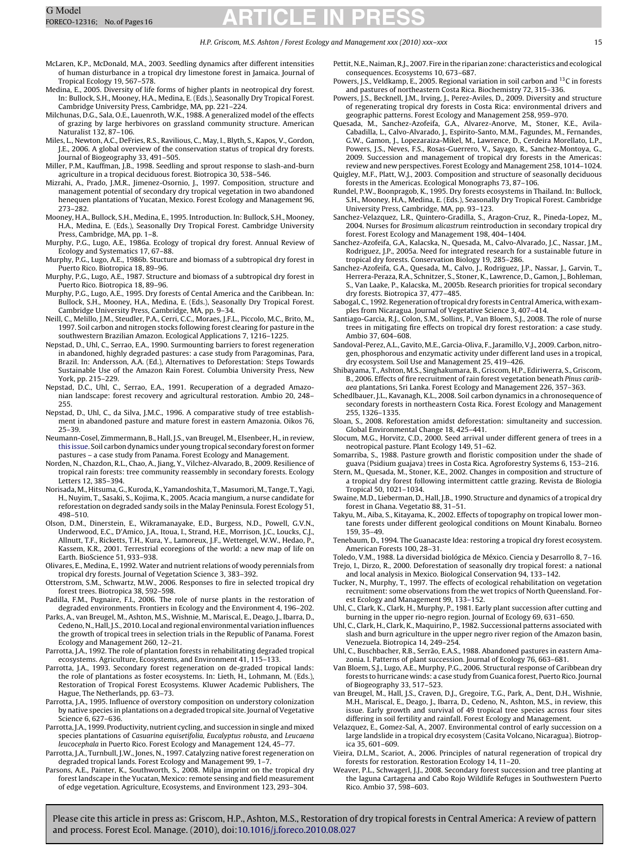#### H.P. Griscom, M.S. Ashton / Forest Ecology and Management xxx (2010) xxx–xxx 15

- <span id="page-14-0"></span>McLaren, K.P., McDonald, M.A., 2003. Seedling dynamics after different intensities of human disturbance in a tropical dry limestone forest in Jamaica. Journal of Tropical Ecology 19, 567–578.
- Medina, E., 2005. Diversity of life forms of higher plants in neotropical dry forest. In: Bullock, S.H., Mooney, H.A., Medina, E. (Eds.), Seasonally Dry Tropical Forest. Cambridge University Press, Cambridge, MA, pp. 221–224.
- Milchunas, D.G., Sala, O.E., Lauenroth, W.K., 1988. A generalized model of the effects of grazing by large herbivores on grassland community structure. American Naturalist 132, 87–106.
- Miles, L., Newton, A.C., DeFries, R.S., Ravilious, C., May, I., Blyth, S., Kapos, V., Gordon, J.E., 2006. A global overview of the conservation status of tropical dry forests. Journal of Biogeography 33, 491–505.
- Miller, P.M., Kauffman, J.B., 1998. Seedling and sprout response to slash-and-burn agriculture in a tropical deciduous forest. Biotropica 30, 538–546.
- Mizrahi, A., Prado, J.M.R., Jimenez-Osornio, J., 1997. Composition, structure and management potential of secondary dry tropical vegetation in two abandoned henequen plantations of Yucatan, Mexico. Forest Ecology and Management 96, 273–282.
- Mooney, H.A., Bullock, S.H., Medina, E., 1995. Introduction. In: Bullock, S.H., Mooney, H.A., Medina, E. (Eds.), Seasonally Dry Tropical Forest. Cambridge University Press, Cambridge, MA, pp. 1–8.
- Murphy, P.G., Lugo, A.E., 1986a. Ecology of tropical dry forest. Annual Review of Ecology and Systematics 17, 67–88.
- Murphy, P.G., Lugo, A.E., 1986b. Stucture and biomass of a subtropical dry forest in Puerto Rico. Biotropica 18, 89–96.
- Murphy, P.G., Lugo, A.E., 1987. Structure and biomass of a subtropical dry forest in Puerto Rico. Biotropica 18, 89–96.
- Murphy, P.G., Lugo, A.E., 1995. Dry forests of Cental America and the Caribbean. In: Bullock, S.H., Mooney, H.A., Medina, E. (Eds.), Seasonally Dry Tropical Forest. Cambridge University Press, Cambridge, MA, pp. 9–34.
- Neill, C., Melillo, J.M., Steudler, P.A., Cerri, C.C., Moraes, J.F.L., Piccolo, M.C., Brito, M., 1997. Soil carbon and nitrogen stocks following forest clearing for pasture in the southwestern Brazilian Amazon. Ecological Applications 7, 1216–1225.
- Nepstad, D., Uhl, C., Serrao, E.A., 1990. Surmounting barriers to forest regeneration in abandoned, highly degraded pastures: a case study from Paragominas, Para, Brazil. In: Andersson, A.A. (Ed.), Alternatives to Deforestation: Steps Towards Sustainable Use of the Amazon Rain Forest. Columbia University Press, New York, pp. 215–229.
- Nepstad, D.C., Uhl, C., Serrao, E.A., 1991. Recuperation of a degraded Amazonian landscape: forest recovery and agricultural restoration. Ambio 20, 248– 255.
- Nepstad, D., Uhl, C., da Silva, J.M.C., 1996. A comparative study of tree establishment in abandoned pasture and mature forest in eastern Amazonia. Oikos 76, 25–39.
- Neumann-Cosel, Zimmermann, B., Hall, J.S., van Breugel, M., Elsenbeer, H., in review, [this issue.](http://dx.doi.org/10.1016/j.foreco.2010.07.023) Soil carbon dynamics under young tropical secondary forest on former pastures – a case study from Panama. Forest Ecology and Management.
- Norden, N., Chazdon, R.L., Chao, A., Jiang, Y., Vilchez-Alvarado, B., 2009. Resilience of tropical rain forests: tree community reassembly in secondary forests. Ecology Letters 12, 385–394.
- Norisada,M., Hitsuma, G., Kuroda, K., Yamandoshita, T.,Masumori,M., Tange, T., Yagi, H., Nuyim, T., Sasaki, S., Kojima, K., 2005. Acacia mangium, a nurse candidate for reforestation on degraded sandy soils in the Malay Peninsula. Forest Ecology 51, 498–510.
- Olson, D.M., Dinerstein, E., Wikramanayake, E.D., Burgess, N.D., Powell, G.V.N., Underwood, E.C., D'Amico, J.A., Itoua, I., Strand, H.E., Morrison, J.C., Loucks, C.J., Allnutt, T.F., Ricketts, T.H., Kura, Y., Lamoreux, J.F., Wettengel, W.W., Hedao, P., Kassem, K.R., 2001. Terrestrial ecoregions of the world: a new map of life on Earth. BioScience 51, 933–938.
- Olivares, E., Medina, E., 1992.Water and nutrient relations of woody perennials from tropical dry forests. Journal of Vegetation Science 3, 383–392.
- Otterstrom, S.M., Schwartz, M.W., 2006. Responses to fire in selected tropical dry forest trees. Biotropica 38, 592–598.
- Padilla, F.M., Pugnaire, F.I., 2006. The role of nurse plants in the restoration of degraded environments. Frontiers in Ecology and the Environment 4, 196–202.
- Parks, A., van Breugel, M., Ashton, M.S., Wishnie, M., Mariscal, E., Deago, J., Ibarra, D., Cedeno, N., Hall, J.S., 2010. Local and regional environmental variation influences the growth of tropical trees in selection trials in the Republic of Panama. Forest Ecology and Management 260, 12–21.
- Parrotta, J.A., 1992. The role of plantation forests in rehabilitating degraded tropical ecosystems. Agriculture, Ecosystems, and Environment 41, 115–133.
- Parrotta, J.A., 1993. Secondary forest regeneration on de-graded tropical lands: the role of plantations as foster ecosystems. In: Lieth, H., Lohmann, M. (Eds.), Restoration of Tropical Forest Ecosystems. Kluwer Academic Publishers, The Hague, The Netherlands, pp. 63–73.
- Parrotta, J.A., 1995. Influence of overstory composition on understory colonization by native species in plantations on a degraded tropical site. Journal of Vegetative Science 6, 627–636.
- Parrotta, J.A., 1999. Productivity, nutrient cycling, and succession in single and mixed species plantations of Casuarina equisetifolia, Eucalyptus robusta, and Leucaena leucocephala in Puerto Rico. Forest Ecology and Management 124, 45–77.
- Parrotta, J.A., Turnbull, J.W., Jones, N., 1997. Catalyzing native forest regeneration on degraded tropical lands. Forest Ecology and Management 99, 1–7.
- Parsons, A.E., Painter, K., Southworth, S., 2008. Milpa imprint on the tropical dry forest landscape in the Yucatan, Mexico: remote sensing and field measurement of edge vegetation. Agriculture, Ecosystems, and Environment 123, 293–304.
- Pettit, N.E., Naiman, R.J., 2007. Fire in the riparian zone: characteristics and ecological consequences. Ecosystems 10, 673–687.
- Powers, J.S., Veldkamp, E., 2005. Regional variation in soil carbon and <sup>13</sup>C in forests and pastures of northeastern Costa Rica. Biochemistry 72, 315–336.
- Powers, J.S., Becknell, J.M., Irving, J., Perez-Aviles, D., 2009. Diversity and structure of regenerating tropical dry forests in Costa Rica: environmental drivers and geographic patterns. Forest Ecology and Management 258, 959–970.
- Quesada, M., Sanchez-Azofeifa, G.A., Alvarez-Anorve, M., Stoner, K.E., Avila-Cabadilla, L., Calvo-Alvarado, J., Espirito-Santo, M.M., Fagundes, M., Fernandes, G.W., Gamon, J., Lopezaraiza-Mikel, M., Lawrence, D., Cerdeira Morellato, L.P., Powers, J.S., Neves, F.S., Rosas-Guerrero, V., Sayago, R., Sanchez-Montoya, G., 2009. Succession and management of tropical dry forests in the Americas: review and new perspectives. Forest Ecology and Management 258, 1014–1024.
- Quigley, M.F., Platt, W.J., 2003. Composition and structure of seasonally deciduous forests in the Americas. Ecological Monographs 73, 87–106.
- Rundel, P.W., Boonpragob, K., 1995. Dry forests ecosystems in Thailand. In: Bullock, S.H., Mooney, H.A., Medina, E. (Eds.), Seasonally Dry Tropical Forest. Cambridge University Press, Cambridge, MA, pp. 93–123.
- Sanchez-Velazquez, L.R., Quintero-Gradilla, S., Aragon-Cruz, R., Pineda-Lopez, M., 2004. Nurses for Brosimum alicastrum reintroduction in secondary tropical dry forest. Forest Ecology and Management 198, 404–1404.
- Sanchez-Azofeifa, G.A., Kalacska, N., Quesada, M., Calvo-Alvarado, J.C., Nassar, J.M., Rodriguez, J.P., 2005a. Need for integrated research for a sustainable future in tropical dry forests. Conservation Biology 19, 285–286.
- Sanchez-Azofeifa, G.A., Quesada, M., Calvo, J., Rodriguez, J.P., Nassar, J., Garvin, T., Herrera-Peraza, R.A., Schnitzer, S., Stoner, K., Lawrence, D., Gamon, J., Bohleman, S., Van Laake, P., Kalacska, M., 2005b. Research priorities for tropical secondary dry forests. Biotropica 37, 477–485.
- Sabogal, C., 1992. Regeneration of tropical dry forests in Central America, with examples from Nicaragua. Journal of Vegetative Science 3, 407–414.
- Santiago-Garcia, R.J., Colon, S.M., Sollins, P., Van Bloem, S.J., 2008. The role of nurse trees in mitigating fire effects on tropical dry forest restoration: a case study. Ambio 37, 604–608.
- Sandoval-Perez, A.L., Gavito, M.E., Garcia-Oliva, F., Jaramillo, V.J., 2009. Carbon, nitrogen, phosphorous and enzymatic activity under different land uses in a tropical, dry ecosystem. Soil Use and Management 25, 419–426.
- Shibayama, T., Ashton, M.S., Singhakumara, B., Griscom, H.P., Ediriwerra, S., Griscom, B., 2006. Effects of fire recruitment of rain forest vegetation beneath Pinus caribaea plantations, Sri Lanka. Forest Ecology and Management 226, 357–363.
- Schedlbauer, J.L., Kavanagh, K.L., 2008. Soil carbon dynamics in a chronosequence of secondary forests in northeastern Costa Rica. Forest Ecology and Management 255, 1326–1335.
- Sloan, S., 2008. Reforestation amidst deforestation: simultaneity and succession. Global Environmental Change 18, 425–441.
- Slocum, M.G., Horvitz, C.D., 2000. Seed arrival under different genera of trees in a neotropical pasture. Plant Ecology 149, 51–62.
- Somarriba, S., 1988. Pasture growth and floristic composition under the shade of guava (Psidium guajava) trees in Costa Rica. Agroforestry Systems 6, 153–216.
- Stern, M., Quesada, M., Stoner, K.E., 2002. Changes in composition and structure of a tropical dry forest following intermittent cattle grazing. Revista de Biologia Tropical 50, 1021–1034.
- Swaine, M.D., Lieberman, D., Hall, J.B., 1990. Structure and dynamics of a tropical dry forest in Ghana. Vegetatio 88, 31–51.
- Takyu, M., Aiba, S., Kitayama, K., 2002. Effects of topography on tropical lower montane forests under different geological conditions on Mount Kinabalu. Borneo 159, 35–49.
- Tenebaum, D., 1994. The Guanacaste Idea: restoring a tropical dry forest ecosystem. American Forests 100, 28–31.
- Toledo, V.M., 1988. La diversidad biológica de México. Ciencia y Desarrollo 8, 7–16. Trejo, I., Dirzo, R., 2000. Deforestation of seasonally dry tropical forest: a national and local analysis in Mexico. Biological Conservation 94, 133–142.
- Tucker, N., Murphy, T., 1997. The effects of ecological rehabilitation on vegetation recruitment: some observations from the wet tropics of North Queensland. Forest Ecology and Management 99, 133–152.
- Uhl, C., Clark, K., Clark, H., Murphy, P., 1981. Early plant succession after cutting and burning in the upper rio-negro region. Journal of Ecology 69, 631–650.
- Uhl, C., Clark, H., Clark, K., Maquirino, P., 1982. Successional patterns associated with slash and burn agriculture in the upper negro river region of the Amazon basin, Venezuela. Biotropica 14, 249–254.
- Uhl, C., Buschbacher, R.B., Serrão, E.A.S., 1988. Abandoned pastures in eastern Amazonia. I. Patterns of plant succession. Journal of Ecology 76, 663–681.
- Van Bloem, S.J., Lugo, A.E., Murphy, P.G., 2006. Structural response of Caribbean dry forests to hurricane winds: a case study from Guanica forest, Puerto Rico. Journal of Biogeography 33, 517–523.
- van Breugel, M., Hall, J.S., Craven, D.J., Gregoire, T.G., Park, A., Dent, D.H., Wishnie, M.H., Mariscal, E., Deago, J., Ibarra, D., Cedeno, N., Ashton, M.S., in review, this issue. Early growth and survival of 49 tropical tree species across four sites differing in soil fertility and rainfall. Forest Ecology and Management.
- Velazquez, E., Gomez-Sal, A., 2007. Environmental control of early succession on a large landslide in a tropical dry ecosystem (Casita Volcano, Nicaragua). Biotropica 35, 601–609.
- Vieira, D.L.M., Scariot, A., 2006. Principles of natural regeneration of tropical dry forests for restoration. Restoration Ecology 14, 11–20.
- Weaver, P.L., Schwagerl, J.J., 2008. Secondary forest succession and tree planting at the laguna Cartagena and Cabo Rojo Wildlife Refuges in Southwestern Puerto Rico. Ambio 37, 598–603.